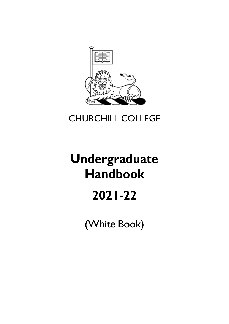

# CHURCHILL COLLEGE

# **Undergraduate Handbook 2021-22**

(White Book)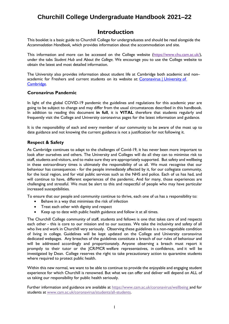# **Churchill College Undergraduate Handbook 2021–22**

# **Introduction**

<span id="page-1-0"></span>This booklet is a basic guide to Churchill College for undergraduates and should be read alongside the *[Accommodation](https://www.chu.cam.ac.uk/media/uploads/files/2019%20Accom%20Handbook.pdf) Handbook,* which provides information about the accommodation and site.

This [information](https://www.chu.cam.ac.uk/media/uploads/files/White%20Book%202019-20.pdf) and more can be accessed on the College website [\(https://www.chu.cam.ac.uk/\)](https://www.chu.cam.ac.uk/), under the tabs *Student Hub* and A*bout the College.* We encourage you to use the College website to obtain the latest and most detailed information.

The University also provides information about student life at Cambridge both academic and non– academic for Freshers and current students on its website at: [Coronavirus | University of](https://www.cam.ac.uk/coronavirus)  [Cambridge.](https://www.cam.ac.uk/coronavirus)

### <span id="page-1-1"></span>**Coronavirus Pandemic**

In light of the global COVID-19 pandemic the guidelines and regulations for this academic year are going to be subject to change and may differ from the usual circumstances described in this handbook. In addition to reading this document **in full**, it is **VITAL** therefore that students regularly and frequently visit the College and University coronavirus pages for the latest information and guidance.

It is the responsibility of each and every member of our community to be aware of the most up to date guidance and not knowing the current guidance is not a justification for not following it.

### <span id="page-1-2"></span>**Respect & Safety**

As Cambridge continues to adapt to the challenges of Covid-19, it has never been more important to look after ourselves and others. The University and Colleges will do all they can to minimise risk to staff, students and visitors, and to make sure they are appropriately supported. But safety and wellbeing in these extraordinary times is ultimately the responsibility of us all. We must recognise that our behaviour has consequences - for the people immediately affected by it, for our collegiate community, for the local region, and for vital public services such as the NHS and police. Each of us has had, and will continue to have, different experiences of the pandemic. And for many, those experiences are challenging and stressful. We must be alert to this and respectful of people who may have particular increased susceptibilities.

To ensure that our people and community continue to thrive, each one of us has a responsibility to:

- Behave in a way that minimises the risk of infection
- Treat each other with dignity and respect
- Keep up to date with public health guidance and follow it at all times.

The Churchill College community of staff, students and fellows is one that takes care of and respects each other - this is core to our mission and to our success. We take the inclusivity and safety of all who live and work in Churchill very seriously. Observing these guidelines is a non-negotiable condition of living in college. Guidelines will be kept updated on the College and University coronavirus dedicated webpages. Any breaches of the guidelines constitute a breach of our rules of behaviour and will be addressed accordingly and proportionately. Anyone observing a breach must report it promptly to their tutor or the JCR/MCR welfare representatives, in confidence, and it will be investigated by Dean. College reserves the right to take precautionary action to quarantine students where required to protect public health.

Within this new normal, we want to be able to continue to provide the enjoyable and engaging student experience for which Churchill is renowned. But what we can offer and deliver will depend on ALL of us taking our responsibility for public health seriously.

Further information and guidance are available at <https://www.cam.ac.uk/coronavirus/wellbeing> and for students at [www.cam.ac.uk/coronavirus/students/all-students.](https://www.cam.ac.uk/coronavirus/students/all-students)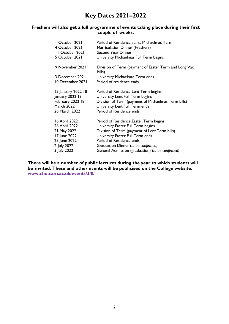# **Key Dates 2021–2022**

# <span id="page-2-0"></span>**Freshers will also get a full programme of events taking place during their first couple of weeks.**

| 1 October 2021     | Period of Residence starts Michaelmas Term                      |
|--------------------|-----------------------------------------------------------------|
| 4 October 2021     | Matriculation Dinner (Freshers)                                 |
| 11 October 2021    | Second Year Dinner                                              |
| 5 October 2021     | University Michaelmas Full Term begins                          |
| 9 November 2021    | Division of Term (payment of Easter Term and Long Vac<br>bills) |
| 3 December 2021    | University Michaelmas Term ends                                 |
| 10 December 2021   | Period of residence ends                                        |
| 15 January 2022 18 | Period of Residence Lent Term begins                            |
| January 2022 13    | University Lent Full Term begins                                |
| February 2022 18   | Division of Term (payment of Michaelmas Term bills)             |
| <b>March 2022</b>  | University Lent Full Term ends                                  |
| 26 March 2022      | Period of Residence ends                                        |
| 16 April 2022      | Period of Residence Easter Term begins                          |
| 26 April 2022      | University Easter Full Term begins                              |
| 21 May 2022        | Division of Term (payment of Lent Term bills)                   |
| 17 June 2022       | University Easter Full Term ends                                |
| 25 June 2022       | Period of Residence ends                                        |
| 2 July 2022        | Graduation Dinner (to be confirmed)                             |
| 3 July 2022        | General Admission (graduation) (to be confirmed)                |

**There will be a number of public lectures during the year to which students will be invited. These and other events will be publicised on the College website. [www.chu.cam.ac.uk/events/3/0/](http://www.chu.cam.ac.uk/events/3/0/)**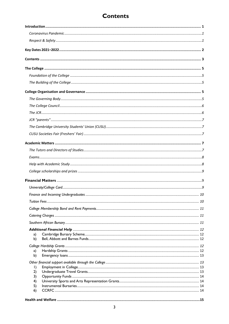# **Contents**

<span id="page-3-0"></span>

| a)        |  |
|-----------|--|
| b)        |  |
|           |  |
| a)<br>b)  |  |
|           |  |
| $\vert$ ) |  |
| 2)        |  |
| 3)        |  |
| 4)        |  |
| 5)        |  |
| 6)        |  |
|           |  |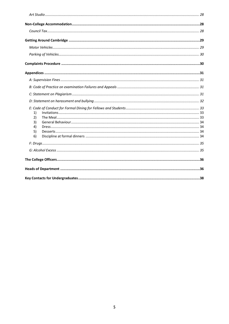| 1) |  |
|----|--|
| 2) |  |
| 3) |  |
| 4) |  |
| 5) |  |
| 6) |  |
|    |  |
|    |  |
|    |  |
|    |  |
|    |  |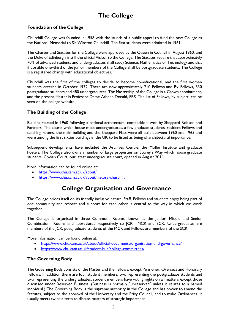# **The College**

# <span id="page-6-1"></span><span id="page-6-0"></span>**Foundation of the College**

Churchill College was founded in 1958 with the launch of a public appeal to fund the new College as the National Memorial to Sir Winston Churchill. The first students were admitted in 1961.

The Charter and Statutes for the College were approved by the Queen in Council in August 1960, and the Duke of Edinburgh is still the official Visitor to the College. The Statutes require that approximately 70% of advanced students and undergraduates shall study Science, Mathematics or Technology and that if possible one–third of the junior members of the College shall be postgraduate students. The College is a registered charity with educational objectives.

Churchill was the first of the colleges to decide to become co–educational, and the first women students entered in October 1972. There are now approximately 210 Fellows and By–Fellows, 330 postgraduate students and 480 undergraduates. The Mastership of the College is a Crown appointment, and the present Master is Professor Dame Athene Donald, FRS. The list of Fellows, by subject, can be seen on the college [website.](https://www.chu.cam.ac.uk/people/fellows/)

# <span id="page-6-2"></span>**The Building of the College**

Building started in 1960 following a national architectural competition, won by Sheppard Robson and Partners. The courts which house most undergraduates, a few graduate students, resident Fellows and teaching rooms, the main building and the Sheppard Flats were all built between 1960 and 1965 and were among the first sixties buildings in the UK to be listed as being of architectural importance.

Subsequent developments have included the Archives Centre, the Møller Institute and graduate hostels. The College also owns a number of large properties on Storey's Way which house graduate students. Cowan Court, our latest undergraduate court, opened in August 2016.

More information can be found online at:

- <https://www.chu.cam.ac.uk/about/>
- <https://www.chu.cam.ac.uk/about/history-churchill/>

# <span id="page-6-3"></span>**College Organisation and Governance**

The College prides itself on its friendly inclusive nature. Staff, Fellows and students enjoy being part of one community and respect and support for each other is central to the way in which we work together.

The College is organised in three Common Rooms, known as the Junior, Middle and Senior Combination Rooms and abbreviated respectively to JCR, MCR and SCR. Undergraduates are members of the JCR, postgraduate students of the MCR and Fellows are members of the SCR.

More information can be found online at:

- <https://www.chu.cam.ac.uk/about/official-documents/organisation-and-governance/>
- <https://www.chu.cam.ac.uk/student-hub/college-committees/>

#### <span id="page-6-4"></span>**The Governing Body**

The Governing Body consists of the Master and the Fellows, except Pensioner, Overseas and Honorary Fellows. In addition there are four student members, two representing the postgraduate students and two representing the undergraduates; student members have voting rights on all matters except those discussed under Reserved Business. (Business is normally "unreserved" unless it relates to a named individual.) The Governing Body is the supreme authority in the College and has power to amend the Statutes, subject to the approval of the University and the Privy Council, and to make Ordinances. It usually meets twice a term to discuss matters of strategic importance.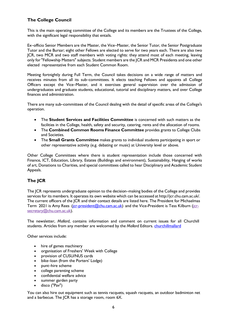# <span id="page-7-0"></span>**The College Council**

This is the main operating committee of the College and its members are the Trustees of the College, with the significant legal responsibility that entails.

Ex–officio Senior Members are the Master, the Vice–Master, the Senior Tutor, the Senior Postgraduate Tutor and the Bursar; eight other Fellows are elected to serve for two years each. There are also two JCR, two MCR and two staff members with voting rights: they attend most of each meeting, leaving only for"Fellowship Matters" subjects. Student members are the JCR and MCR Presidents and one other elected representative from each Student Common Room.

Meeting fortnightly during Full Term, the Council takes decisions on a wide range of matters and receives minutes from all its sub–committees. It elects teaching Fellows and appoints all College Officers except the Vice–Master, and it exercises general supervision over the admission of undergraduates and graduate students, educational, tutorial and disciplinary matters, and over College finances and administration.

There are many sub–committees of the Council dealing with the detail of specific areas of the College's operation.

- The **Student Services and Facilities Committee** is concerned with such matters as the facilities in the College, health, safety and security, catering, rents and the allocation of rooms.
- The **Combined Common Rooms Finance Committee** provides grants to College Clubs and Societies.
- The **Small Grants Committee** makes grants to individual students participating in sport or other representative activity (e.g. debating or music) at University level or above.

Other College Committees where there is student representation include those concerned with Finance, ICT, Education, Library, Estates (Buildings and environment), Sustainability, Hanging of works of art, Donations to Charities, and special committees called to hear Disciplinary and Academic Student Appeals.

# <span id="page-7-1"></span>**The JCR**

The JCR represents undergraduate opinion to the decision–making bodies of the College and provides services for its members. It operates its own website which can be accessed at [http://jcr.chu.cam.ac.uk/.](http://jcr.chu.cam.ac.uk/) The current officers of the JCR and their contact details are listed here. The President for Michaelmas Term 2021 is Amy Rees (*jcr-president@chu.cam.ac.uk*) and the Vice-President is Tess Kilburn (*jcr*secretary@chu.cam.ac.uk).

The newsletter, *Mallard*, contains information and comment on current issues for all Churchill students. Articles from any member are welcomed by the *Mallard* Editors. [churchillmallard](https://churchillmallard.co.uk/)

Other services include:

- hire of games machinery
- organisation of Freshers' Week with College
- provision of CUSU/NUS cards
- bike–loan (from the Porters' Lodge)
- punt–hire scheme
- college parenting scheme
- confidential welfare advice
- summer garden party
- disco ("Pav")

You can also hire out equipment such as tennis racquets, squash racquets, an outdoor badminton net and a barbecue. The JCR has a storage room, room 6X.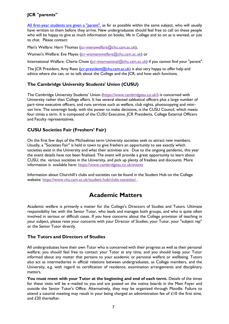# <span id="page-8-0"></span>**JCR "parents"**

All [first-year](http://jcr.chu.cam.ac.uk/give_me_parents) students are given a "parent", as far as possible within the same subject, who will usually have written to them before they arrive. New undergraduates should feel free to call on these people who will be happy to give as much information on books, life in College and so on as is wanted, or just to chat. Please contact:

Men's Welfare: Harri Thomas (jcr-menswelfare@chu.cam.ac.uk),

Women's Welfare: Eve Mayes (jcr-womenswelfare@chu.cam.ac.uk) or

International Welfare: Cherie Chow (jcr-international@chu.cam.ac.uk) if you cannot find your "parent".

The JCR President, Amy Rees [\(jcr-president@chu.cam.ac.uk\)](mailto:jcr-president@chu.cam.ac.uk) is also very happy to offer help and advice where she can, or to talk about the College and the JCR, and how each functions.

# <span id="page-8-1"></span>**The Cambridge University Students' Union [\(CUSU\)](https://www.cambridgesu.co.uk/)**

The Cambridge University Students' Union [\(https://www.cambridgesu.co.uk/\)](https://www.cambridgesu.co.uk/) is concerned with University rather than College affairs. It has several elected sabbatical officers plus a large number of part–time executive officers, and runs services such as welfare, club nights, photocopying and mini– van hire. The sovereign body, with the power to make decisions, is the CUSU Council, which meets four times a term. It is composed of the CUSU Executive, JCR Presidents, College External Officers and Faculty representatives.

# <span id="page-8-2"></span>**CUSU Societies Fair (Freshers' Fair)**

On the first few days of the Michaelmas term University societies seek to attract new members. Usually, a "Societies Fair" is held in town to give freshers an opportunity to see exactly which societies exist in the University and what their activities are. Due to the ongoing pandemic, this year the event details have not been finalised. The event will provide a great opportunity to learn about CUSU, the various societies in the University, and pick up plenty of freebies and discounts. More information is available here: [https://www.cambridgesu.co.uk/events](https://www.cambridgesu.co.uk/events/6013/2/)

Information about Churchill's clubs and societies can be found in the Student Hub on the College website: <https://www.chu.cam.ac.uk/student-hub/clubs-societies/> .

# **Academic Matters**

<span id="page-8-3"></span>Academic welfare is primarily a matter for the College's Directors of Studies and Tutors. Ultimate responsibility lies with the Senior Tutor, who leads and manages both groups, and who is quite often involved in serious or difficult cases. If you have concerns about the College provision of teaching in your subject, please raise your concerns with your Director of Studies, your Tutor, your "subject rep" or the Senior Tutor directly.

# <span id="page-8-4"></span>**The Tutors and Directors of Studies**

All undergraduates have their own Tutor who is concerned with their progress as well as their personal welfare; you should feel free to contact your Tutor at any time, and you should keep your Tutor informed about any matter that pertains to your academic or personal welfare or wellbeing. Tutors also act as intermediaries in official relations between undergraduates, as College members, and the University, e.g. with regard to certification of residence, examination arrangements and disciplinary matters.

**You must meet with your Tutor at the beginning and end of each term.** Details of the times for these visits will be e–mailed to you and are posted on the notice boards in the Main Foyer and outside the Senior Tutor's Office. Alternatively, they may be organised through Moodle. Failure to attend a tutorial meeting may result in your being charged an administration fee of £10 the first time, and £20 thereafter.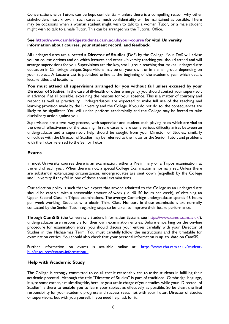Conversations with Tutors can be kept confidential – unless there is a compelling reason why other stakeholders must know. In such cases as much confidentiality will be maintained as possible. There may be occasions when a woman student might wish to talk to a woman Tutor, or a male student might wish to talk to a male Tutor. This can be arranged via the Tutorial Office.

#### **See [https://www.cambridgestudents.cam.ac.uk/your-course f](https://www.cambridgestudents.cam.ac.uk/your-course)or vital University information about courses, your student record, and feedback.**

All undergraduates are allocated a **Director of Studies** (DoS) by the College. Your DoS will advise you on course options and on which lectures and other University teaching you should attend and will arrange supervisions for you. Supervisions are the key, small–group teaching that makes undergraduate education in Cambridge unique. Supervisions may be on your own, or in a small group, depending on your subject. A Lecture List is published online at the beginning of the academic year which details lecture titles and locations.

**You must attend all supervisions arranged for you without fail unless excused by your Director of Studies.** In the case of ill–health or other emergency you should contact your supervisor, in advance if at all possible, explaining the reasons for your absence. This is a matter of courtesy and respect as well as practicality. Undergraduates are expected to make full use of the teaching and learning provision made by the University and the College. If you do not do so, the consequences are likely to be significant. You will under–perform academically and the College may be forced to take disciplinary action against you.

Supervisions are a two–way process, with supervisor and student each playing roles which are vital to the overall effectiveness of the teaching. In rare cases where some serious difficulty arises between an undergraduate and a supervisor, help should be sought from your Director of Studies; similarly difficulties with the Director of Studies may be referred to the Tutor or the Senior Tutor, and problems with the Tutor referred to the Senior Tutor.

# <span id="page-9-0"></span>**Exams**

In most University courses there is an examination, either a Preliminary or a Tripos examination, at the end of each year. When there is not, a special College Examination is normally set. Unless there are substantial extenuating circumstances, undergraduates are sent down (expelled) by the College and University if they fail in one of these annual examinations.

Our selection policy is such that we expect that anyone admitted to the College as an undergraduate should be capable, with a reasonable amount of work (i.e. 40–50 hours per week), of obtaining an Upper Second Class in Tripos examinations. The average Cambridge undergraduate spends 46 hours per week working. Students who obtain Third Class Honours in these examinations are normally contacted by the Senior Tutor regarding steps to be taken to improve their future performance.

Through **CamSIS** (the University's Student Information System, see [https://www.camsis.cam.ac.uk/\)](https://www.camsis.cam.ac.uk/), undergraduates are responsible for their own examination entries. Before embarking on the on–line procedure for examination entry, you should discuss your entries carefully with your Director of Studies in the Michaelmas Term. You must carefully follow the instructions and the timetable for examination entries. You should also check that your personal information is up–to–date on CamSIS.

Further information on exams is available online at: [https://www.chu.cam.ac.uk/student](https://www.chu.cam.ac.uk/student-hub/resources/exams-information/)[hub/resources/exams-information/.](https://www.chu.cam.ac.uk/student-hub/resources/exams-information/) 

# <span id="page-9-1"></span>**Help with Academic Study**

The College is strongly committed to do all that it reasonably can to assist students in fulfilling their academic potential. Although the title "Director of Studies" is part of traditional Cambridge language, it is, to some extent, a misleading title, because **you** are in charge of yourstudies, while your "Director of Studies" is there to **enable** you to learn your subject as effectively as possible. So be clear: the final responsibility for your academic progress and success rests, not with your Tutor, Director of Studies or supervisors, but with you yourself. If you need help, ask for it.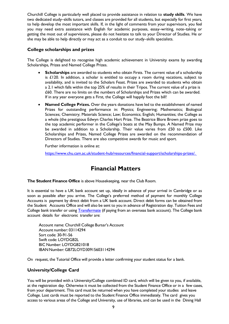Churchill College is particularly well placed to provide assistance in relation to **study skills**. We have two dedicated study–skills tutors, and classes are provided for all students, but especially for first years, to help develop the most important skills. If, in the light of comments from your supervisors, you feel you may need extra assistance with English for academic purposes, essay–writing, note–taking or getting the most out of supervisions, please do not hesitate to talk to your Director of Studies. He or she may be able to help directly or may act as a conduit to our study–skills specialists.

# <span id="page-10-0"></span>**College scholarships and prizes**

The College is delighted to recognise high academic achievement in University exams by awarding Scholarships, Prizes and Named College Prizes.

- **Scholarships** are awarded to students who obtain Firsts. The current value of a scholarship is  $£120$ . In addition, a scholar is entitled to occupy a room during vacations, subject to availability, and is invited to the Scholars Feast. Prizes are awarded to students who obtain a 2.1 which falls within the top 25% of results in their Tripos. The current value of a prize is £60. There are no limits on the numbers of Scholarships and Prizes which can be awarded. If in any year everyone gets a First, the College will happily foot the bill!
- **Named College Prizes.** Over the years donations have led to the establishment of named Prizes for outstanding performance in: Physics; Engineering; Mathematics; Biological Sciences; Chemistry; Materials Science; Law; Economics; English; Humanities; the College as a whole (the prestigious Edwyn Charles Hart Prize. The Beatrice Blore Brown prize goes to the top academic performer in the College's boats at the May Bumps. A Named Prize may be awarded in addition to a Scholarship. Their value varies from £50 to £500. Like Scholarships and Prizes, Named College Prizes are awarded on the recommendation of Directors of Studies. There are also competitive awards for music and sport.

Further information is online at:

[https://www.chu.cam.ac.uk/student-hub/resources/financial-support/scholarships-prizes/.](https://www.chu.cam.ac.uk/student-hub/resources/financial-support/scholarships-prizes/) 

# **Financial Matters**

<span id="page-10-1"></span>**The Student Finance Office** is above Housekeeping, near the Club Room.

It is essential to have a UK bank account set up, ideally in advance of your arrival in Cambridge or as soon as possible after you arrive. The College's preferred method of payment for monthly College Accounts is payment by direct debit from a UK bank account. Direct debit forms can be obtained from the Student Accounts Office and will also be sent to you in advance of Registration day. Tuition Fees and College bank transfer or using **Transfermate** (if paying from an overseas bank account). The College bank account details for electronic transfer are:

Account name: Churchill College Bursar's Account Account number: 03114294 Sort code: 30-91-56 Swift code: LOYDGB2L BIC Number: LOYDGB21018 IBANNumber: GB72LOYD30915603114294

On request, the Tutorial Office will provide a letter confirming your student status for a bank.

# <span id="page-10-2"></span>**University/College Card**

You will be provided with a University/College combined ID card, which will be given to you, if available, at the registration day. Otherwise it must be collected from the Student Finance Office or in a few cases, from your department. This card must be returned when you have completed your studies and leave College. Lost cards must be reported to the Student Finance Office immediately. The card gives you access to various areas of the College and University, use of libraries, and can be used in the Dining Hall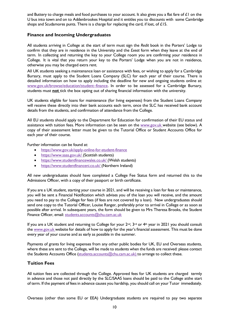and Buttery to charge meals and food purchases to your account. It also gives you a flat fare of  $\pounds 1$  on the U bus into town and on to Addenbrookes Hospital and it entitles you to discounts with some Cambridge shops and Scudamores punts. There is a charge for replacing the card, if lost, of £15.

### <span id="page-11-0"></span>**Finance and Incoming Undergraduates**

All students arriving in College at the start of term must sign the *Redit* book in the Porters' Lodge to confirm that they are in residence in the University and the *Exeat* form when they leave at the end of term. In collecting and returning the key to your College room you are confirming your residence in College. It is vital that you return your key to the Porters' Lodge when you are not in residence, otherwise you may be charged extra rent.

All UK students seeking a maintenance loan or assistance with fees, or wishing to apply for a Cambridge Bursary, must apply to the Student Loans Company (SLC) for each year of their course. There is detailed information on how to apply including the deadline for new and ongoing students online at: [www.gov.uk/browse/education/student](https://www.gov.uk/browse/education/student-finance)–finance. In order to be assessed for a Cambridge Bursary, students must **not** tick the box opting out of sharing financial information with the university.

UK students eligible for loans for maintenance (for living expenses) from the Student Loans Company will receive these directly into their bank accounts each term, once the SLC has received bank account details from the students, and confirmation of attendance from the College.

All EU students should apply to the Department for Education for confirmation of their EU status and assistance with tuition fees. More information can be seen on the [www.gov.uk w](http://www.gov.uk/)ebsite (see below). A copy of their assessment letter must be given to the Tutorial Office or Student Accounts Office for each year of their course.

Further information can be found at:

- <https://www.gov.uk/apply-online-for-student-finance>
- [https://www.saas.gov.uk/ \(](https://www.saas.gov.uk/)Scottish students)
- [https://www.studentfinancewales.co.uk/ \(](https://www.studentfinancewales.co.uk/)Welsh students)
- [https://www.studentfinanceni.co.uk/ \(](https://www.studentfinanceni.co.uk/)Northern Ireland)

All new undergraduates should have completed a College Fee Status form and returned this to the Admissions Officer, with a copy of their passport or birth certificate.

If you are a UK student, starting your course in 2021, and will be receiving a loan for fees or maintenance, you will be sent a Financial Notification which advises you of the loan you will receive, and the amount you need to pay to the College for fees (if fees are not covered by a loan). New undergraduates should send one copy to the Tutorial Officer, Louise Ranger, preferably prior to arrival in College or as soon as possible after arrival. In subsequent years, the form should be given to Mrs Theresa Brooks, the Student Finance Officer, email: [students.accounts@chu.cam.ac.uk](mailto:students.accounts@chu.cam.ac.uk)

If you are a UK student and returning to College for your  $2^{nd}$ ,  $3^{rd}$  or  $4^{th}$  year in 2021 you should consult the [www.gov.uk](http://www.gov.uk/) website for details of how to apply for the year's financial assessment. This must be done every year of your course and as early as possible in the summer.

Payments of grants for living expenses from any other public bodies for UK, EU and Overseas students, where these are sent to the College, will be made to students when the funds are received: please contact the Students Accounts Office (students.accounts@chu.cam.ac.uk) to arrange to collect these.

# <span id="page-11-1"></span>**Tuition Fees**

All tuition fees are collected through the College. Approved fees for UK students are charged termly in advance and those not paid directly by the SLC/SAAS loans should be paid to the College atthe start of term. If the payment of feesin advance causes you hardship, you should call on your Tutor immediately.

Overseas (other than some EU or EEA) Undergraduate students are required to pay two separate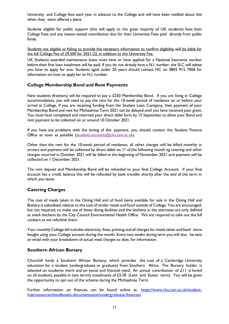University and College fees each year in advance to the College and will have been notified about this when they were offered a place.

Students eligible for public support (this will apply to the great majority of UK students) have their College Fees and any means–tested contribution due for their University Fees paid directly from public funds.

Students not eligible or failing to provide the necessary information to confirm eligibility will be liable for the full College Fee of £9,500 for 2021-22, in addition to the University Fee.

UK Students awarded maintenance loans must have or have applied for a National Insurance number before their first loan instalment will be paid. If you do not already have a N.I. number, the SLC will advise you how to apply for one. Students aged under 20 years should contact HC on 0845 915 7006 for information on how to apply for an N.I. number.

# <span id="page-12-0"></span>**College Membership Bond and Rent Payments**

New students (freshers) will be required to pay a £250 Membership Bond. If you are living in College accommodation, you will need to pay the rent for the 10-week period of residence on or before your arrival at College. If you are receiving funding from the Student Loan Company, then payment of your Membership Bond and rent for Michaelmas Term 2021 can be delayed until you have received your grant. You must have completed and returned your direct debit form by 15 September to allow your Bond and rent payment to be collected on or around 10 October 2021.

If you have any problems with the timing of this payment, you should contact the Student Finance Office as soon as possible (students.accounts@chu.cam.ac.uk).

Other than the rent for the 10-week period of residence, all other charges will be billed monthly in arrears and payment will be collected by direct debit on 1<sup>st</sup> of the following month eg catering and other charges incurred in October 2021 will be billed at the beginning of November 2021 and payment will be collected on 1 December 2021.

The rent deposit and Membership Bond will be refunded to your final College Account. If your final account has a credit balance this will be refunded by bank transfer shortly after the end of the term in which you leave.

# <span id="page-12-1"></span>**Catering Charges**

The cost of meals taken in the Dining Hall and of food items available for sale in the Dining Hall and Buttery is subsidised relative to the cost of similar meals and food outside of College. You are encouraged, but not required, to make use of these dining facilities and the kitchens in the staircases are only defined as snack kitchens by the City Council Environmental Health Office. We are required to take out the full cookers as we refurbish them.

Your monthly College bill includes electricity, fines, printing and all chargesfor meals taken and food items bought using your College account during the month. Every two weeks during term you will also be sent an email with your breakdown of actual meal charges to date, for information.

#### <span id="page-12-2"></span>**Southern African Bursary**

Churchill funds a Southern African Bursary, which provides the cost of a Cambridge University education for a student (undergraduate or graduate) from Southern Africa. The Bursary holder is selected on academic merit and on social and financial need. An annual contribution of £11 is levied on all students, payable in two termly instalments of  $£5.50$  (Lent and Easter term). You will be given the opportunity to opt out of the scheme during the Michaelmas Term.

<span id="page-12-3"></span>Further information on finances can be found online at: [https://www.chu.cam.ac.uk/student](https://www.chu.cam.ac.uk/student-hub/resources/handbooks-documentation/undergraduate-finances/)[hub/resources/handbooks-documentation/undergraduate-finances/](https://www.chu.cam.ac.uk/student-hub/resources/handbooks-documentation/undergraduate-finances/)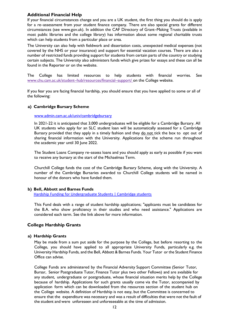#### **Additional Financial Help**

If your financial circumstances change and you are a UK student, the first thing you should do is apply for a re–assessment from your student finance company. There are also special grants for different circumstances (see [www.gov.uk\)](http://www.gov.uk/). In addition the CAF Directory of Grant–Making Trusts (available in most public libraries and the college library) has information about some regional charitable trusts which can help students from a particular place or area.

The University can also help with fieldwork and dissertation costs, unexpected medical expenses (not covered by the NHS or your insurance) and support for essential vacation courses. There are also a number of restricted funds providing support for students from certain parts of the country or studying certain subjects. The University also administers funds which give prizes for essays and these can all be found in the Reporter or on the website.

The College has limited resources to help students with financial worries. See [www.chu.cam.ac.uk/student](https://www.chu.cam.ac.uk/student-hub/resources/financial-support/)-hub/resources/financial-support/ on the College website.

If you fear you are facing financial hardship, you should ensure that you have applied to some or all of the following:

#### <span id="page-13-0"></span>**a) Cambridge Bursary Scheme**

#### [www.admin.cam.ac.uk/univ/cambridgebursary](http://www.admin.cam.ac.uk/univ/cambridgebursary/)

In 2021-22 it is anticipated that 3,000 undergraduates will be eligible for a Cambridge Bursary. All UK students who apply for an SLC student loan will be automatically assessed for a Cambridge Bursary provided that they apply in a timely fashion and they do not tick the box to opt out of sharing financial information with the University. Applications for the scheme run throughout the academic year until 30 June 2022.

The Student Loans Company re–assess loans and you should apply as early as possible if you want to receive any bursary at the start of the Michaelmas Term.

Churchill College funds the cost of the Cambridge Bursary Scheme, along with the University. A number of the Cambridge Bursaries awarded to Churchill College students will be named in honour of the donors who have funded them.

#### <span id="page-13-1"></span>**b) Bell, Abbott and Barnes Funds**

[Hardship Funding for Undergraduate Students | Cambridge students](https://www.cambridgestudents.cam.ac.uk/fees-and-funding/financial-hardship-support-access-funds/bell-abbott-and-barnes-funds)

This Fund deals with a range of student hardship applications; "applicants must be candidates for the B.A. who show proficiency in their studies and who need assistance." Applications are considered each term. See the link above for more information.

# <span id="page-13-2"></span>**College Hardship Grants**

#### <span id="page-13-3"></span>**a) Hardship Grants**

May be made from a sum put aside for the purpose by the College, but before resorting to the College, you should have applied to all appropriate University Funds, particularly e.g. [the](http://www.admin.cam.ac.uk/univ/funds/undergraduate/government.html)  [University](http://www.admin.cam.ac.uk/univ/funds/undergraduate/government.html) Hardship Funds, and the Bell, [Abbott](http://www.admin.cam.ac.uk/univ/funds/undergraduate/bell.html) & Barnes Funds. Your Tutor or the Student Finance Office can advise.

College Funds are administered by the Financial Adversity Support Committee (Senior Tutor, Bursar, Senior Postgraduate Tutor, Finance Tutor plus two other Fellows) and are available for any student, undergraduate or postgraduate, whose financial situation merits help by the College because of hardship. Applications for such grants usually come via the Tutor, accompanied by application form which can be downloaded from the resources section of the student hub on the College website. A definition of Hardship is not easy, but the Committee is concerned to ensure that the expenditure was necessary and was a result of difficulties that were not the fault of the student and were unforeseen and unforeseeable at the time of admission.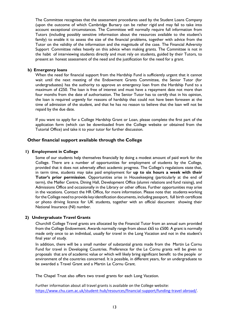The Committee recognises that the assessment procedures used by the Student Loans Company (upon the outcome of which Cambridge Bursary can be rather rigid and may fail to take into account exceptional circumstances. The Committee will normally require full information from Tutors (including possibly sensitive information about the resources available to the student's family) to enable it to assess the size of the financial problems, together with advice from the Tutor on the validity of the information and the magnitude of the case. The Financial Adversity Support Committee relies heavily on this advice when making grants. The Committee is not in the habit of interviewing students directly and must rely on students, guided by their Tutors, to present an honest assessment of the need and the justification for the need for a grant.

#### <span id="page-14-0"></span>**b) Emergency loans**

When the need for financial support from the Hardship Fund is sufficiently urgent that it cannot wait until the next meeting of the Endowment Grants Committee, the Senior Tutor (for undergraduates) has the authority to approve an emergency loan from the Hardship Fund to a maximum of £250. The loan is free of interest and must have a repayment date not more than four months from the date of authorisation. The Senior Tutor has to certify that in his opinion, the loan is required urgently for reasons of hardship that could not have been foreseen at the time of admission of the student, and that he has no reason to believe that the loan will not be repaid by the due date.

If you want to apply for a College Hardship Grant or Loan, please complete the first part of the [application](http://www.chu.cam.ac.uk/members/useful_stuff/Hardship_Grant_Application_Form.pdf) form (which can be downloaded from the College website or obtained from the Tutorial Office) and take it to your tutor for further discussion.

#### <span id="page-14-1"></span>**Other financial support available through the College**

#### <span id="page-14-2"></span>**1) Employment in College**

Some of our students help themselves financially by doing a modest amount of paid work for the College. There are a number of opportunities for employment of students by the College, provided that it does not adversely affect academic progress. The College's regulations state that, in term time, students may take paid employment for **up to six hours a week with their Tutor's prior permission**. Opportunities arise in Housekeeping (particularly at the end of term), the Møller Centre, Dining Hall, Development Office (alumni relations and fund raising), and Admissions Office and occasionally in the Library or other offices. Further opportunities may arise in the vacations. Contact the HR Office, for more information. Please note that students working forthe College need to provide key identification documents, including passport, full birth certificate or photo driving licence for UK students, together with an official document showing their National Insurance (NI) number.

#### <span id="page-14-3"></span>**2) Undergraduate Travel Grants**

Churchill College Travel grants are allocated by the Financial Tutor from an annual sum provided from the College Endowment. Awards normally range from about £65 to £500. A grant is normally made only once to an individual, usually for travel in the Long Vacation and not in the student's final year of study.

In addition, there will be a small number of substantial grants made from the Martin Le Cornu Fund for travel in Developing Countries. Preference for the Le Cornu grants will be given to proposals that are of academic value or which will likely bring significant benefit to the people or environment of the countries concerned. It is possible, in different years, for an undergraduate to be awarded a Travel Grant and a Martin Le Cornu Grant.

The Chapel Trust also offers two travel grants for each Long Vacation.

Further information about all travel grants is available on the College website: [https://www.chu.cam.ac.uk/student-hub/resources/financial-support/funding-travel-abroad/.](https://www.chu.cam.ac.uk/student-hub/resources/financial-support/funding-travel-abroad/)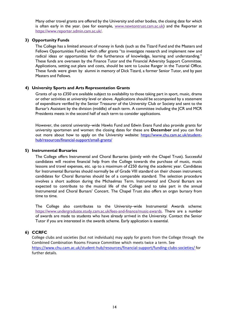Many other travel grants are offered by the University and other bodies, the closing date for which is often early in the year. (see for example, [www.newtontrust.cam.ac.uk\)](http://www.newtontrust.cam.ac.uk/) and the Reporter at [https://www.reporter.admin.cam.ac.uk/.](https://www.reporter.admin.cam.ac.uk/)

#### <span id="page-15-0"></span>**3) Opportunity Funds**

The College has a limited amount of money in funds (such as the Tizard Fund and the Masters and Fellows Opportunities Funds) which offer grants "to investigate research and implement new and radical ideas or opportunities for the furtherance of knowledge, learning and understanding." These funds are overseen by the Finance Tutor and the Financial Adversity Support Committee. Applications, setting out plans and costs, should be sent to Louise Ranger in the Tutorial Office. These funds were given by alumni in memory of Dick Tizard, a former Senior Tutor, and by past Masters and Fellows.

#### <span id="page-15-1"></span>**4) University Sports and Arts Representation Grants**

Grants of up to £350 are available subject to availability to those taking part in sport, music, drama or other activities at university level or above. Applications should be accompanied by a statement of expenditure verified by the Senior Treasurer of the University Club or Society and sent to the Bursar's Assistant by the division (middle) of each term. A committee including the JCR and MCR Presidents meets in the second half of each term to consider applications.

However, the central university–wide Hawks Fund and Edwin Evans Fund also provide grants for university sportsmen and women: the closing dates for these are **December** and you can find out more about how to apply on the University website: [https://www.chu.cam.ac.uk/student](https://www.chu.cam.ac.uk/student-hub/resources/financial-support/small-grants/)[hub/resources/financial-support/small-grants/](https://www.chu.cam.ac.uk/student-hub/resources/financial-support/small-grants/)

#### <span id="page-15-2"></span>**5) Instrumental Bursaries**

The College offers Instrumental and Choral Bursaries (jointly with the Chapel Trust). Successful candidates will receive financial help from the College towards the purchase of music, music lessons and travel expenses, etc. up to a maximum of £250 during the academic year. Candidates for Instrumental Bursaries should normally be of Grade VIII standard on their chosen instrument; candidates for Choral Bursaries should be of a comparable standard. The selection procedure involves a short audition during the Michaelmas Term. Instrumental and Choral Bursars are expected to contribute to the musical life of the College and to take part in the annual Instrumental and Choral Bursars' Concert. The Chapel Trust also offers an organ bursary from time to time.

The College also contributes to the University–wide Instrumental Awards scheme: [https://www.undergraduate.study.cam.ac.uk/fees-and-finance/music-awards.](https://www.undergraduate.study.cam.ac.uk/fees-and-finance/music-awards) There are a number of awards are made to students who have already arrived in the University. Contact the Senior Tutor if you are interested in the awards scheme. Early application is essential.

#### <span id="page-15-3"></span>**6) CCRFC**

College clubs and societies (but not individuals) may apply for grants from the College through the Combined Combination Rooms Finance Committee which meets twice a term. See <https://www.chu.cam.ac.uk/student-hub/resources/financial-support/funding-clubs-societies/> for further details.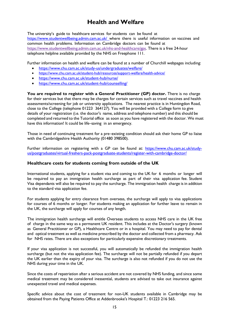# **Health and Welfare**

<span id="page-16-0"></span>The university's guide to healthcare services for students can be found at <https://www.studentwellbeing.admin.cam.ac.uk/> where there is useful information on vaccines and common health problems. Information on Cambridge doctors can be found at [https://www.studentwellbeing.admin.cam.ac.uk/nhs-and-healthcare/gps.](https://www.studentwellbeing.admin.cam.ac.uk/nhs-and-healthcare/gps) There is a free 24-hour telephone helpline available provided by the NHS on Freephone 111.

Further information on health and welfare can be found at a number of Churchill webpages including:

- <https://www.chu.cam.ac.uk/study-us/undergraduates/welfare/>
- <https://www.chu.cam.ac.uk/student-hub/resources/support-welfare/health-advice/>
- <https://www.chu.cam.ac.uk/student-hub/nurse/>
- <https://www.chu.cam.ac.uk/student-hub/counselling/>

**You are required to register with a General Practitioner (GP) doctor.** There is no charge for their services but that there may be charges for certain services such as travel vaccines and health assessments/screening for job or university applications. The nearest practice is in Huntingdon Road, close to the College (telephone 01223 364127). You will be provided with a College form to give details of your registration (i.e. the doctor's name, address and telephone number) and this should be completed and returned to the Tutorial office as soon as you have registered with the doctor. We must have this information! It could be life–saving in an emergency.

Those in need of continuing treatment for a pre–existing condition should ask their home GP to liaise with the Cambridgeshire Health Authority (01480 398500).

Further information on registering with a GP can be found at: [https://www.chu.cam.ac.uk/study](https://www.chu.cam.ac.uk/study-us/postgraduates/virtual-freshers-pack-postgraduate-students/register-with-cambridge-doctor/)[us/postgraduates/virtual-freshers-pack-postgraduate-students/register-with-cambridge-doctor/](https://www.chu.cam.ac.uk/study-us/postgraduates/virtual-freshers-pack-postgraduate-students/register-with-cambridge-doctor/)

#### <span id="page-16-1"></span>**Healthcare costs for students coming from outside of the UK**

International students, applying for a student visa and coming to the UK for 6 months or longer will be required to pay an immigration health surcharge as part of their visa application fee. Student Visa dependants will also be required to pay the surcharge. The immigration health charge is in addition to the standard visa application fee.

For students applying for entry clearance from overseas, the surcharge will apply to visa applications for courses of 6 months or longer. For students making an application for further leave to remain in the UK, the surcharge will apply for courses of any length.

The immigration health surcharge will entitle Overseas students to access NHS care in the UK free of charge in the same way as a permanent UK resident. This includes at the Doctor's surgery (known as General Practitioner or GP), a Healthcare Centre or in a hospital. You may need to pay for dental and optical treatment as well as medicine prescribed by the doctor and collected from a pharmacy. Ask for NHS rates. There are also exceptions for particularly expensive discretionary treatments.

If your visa application is not successful, you will automatically be refunded the immigration health surcharge (but not the visa application fee). The surcharge will not be partially refunded if you depart the UK earlier than the expiry of your visa. The surcharge is also not refunded if you do not use the NHS during your time in the UK.

Since the costs of repatriation after a serious accident are not covered by NHS funding, and since some medical treatment may be considered inessential, students are advised to take out insurance against unexpected travel and medical expenses.

Specific advice about the cost of treatment for non-UK students available in Cambridge may be obtained from the Paying Patients Office at Addenbrooke's Hospital T.: 01223 216 565.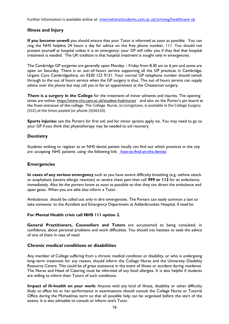<span id="page-17-0"></span>Further information is available online at: [internationalstudents.cam.ac.uk/arriving/healthcare-uk](https://www.internationalstudents.cam.ac.uk/arriving/healthcare-uk)

# **Illness and Injury**

**If you become unwell** you should ensure that your Tutor is informed as soon as possible. You can ring the NHS helpline 24 hours a day for advice on the free phone number, 111. You should not present yourself at hospital unless it is an emergency: your GP will refer you if they feel that hospital treatment is needed. The UK tradition is that hospital treatment is sought only in emergencies.

The Cambridge GP surgeries are generally open Monday – Friday from 8.30 am to 6 pm and some are open on Saturday. There is an out–of–hours service supporting all the GP practices in Cambridge, Urgent Care Cambridgeshire, on 0330 123 9131. Your normal GP telephone number should switch through to the out of hours service when the GP surgery is shut. The out of hours service can supply advice over the phone but may call you in for an appointment at the Chesterton surgery.

**There is a surgery in the College** for the treatment of minor ailments and injuries. The opening times are online:<https://www.chu.cam.ac.uk/student-hub/nurse/>and also on the Porter's pin board at the front entrance of the college. The College Nurse, Jo Livingstone, is available in the College Surgery (31C) at the times posted (or phone (3)36133).

**Sports injuries:** see the Porters for first aid, and for minor sprains apply ice. You may need to go to your GP if you think that physiotherapy may be needed to aid recovery.

### <span id="page-17-1"></span>**Dentistry**

Students wishing to register as an NHS dental patient locally can find out which practices in the city are accepting NHS patients using the following link: [how-to-find-an-nhs-dentist](https://www.nhs.uk/nhs-services/dentists/how-to-find-an-nhs-dentist/)

#### <span id="page-17-2"></span>**Emergencies**

**In cases of any serious emergency** such as you have severe difficulty breathing (e.g. asthma attack or anaphylaxis (severe allergic reaction) or severe chest pain then call **999 or 112** for an ambulance, immediately. Also let the porters know as soon as possible so that they can direct the ambulance and open gates. When you are able also inform a Tutor.

Ambulances should be called out only in dire emergencies. The Porters can easily summon a taxi to take someone to the Accident and Emergency Department at Addenbrookes Hospital, if need be.

#### **For Mental Health crisis call NHS 111 option 2.**

**General Practitioners, Counsellors and Tutors** are accustomed to being consulted, in confidence, about personal problems and work difficulties. You should not hesitate to seek the advice of one of them in case of need.

#### <span id="page-17-3"></span>**Chronic medical conditions or disabilities**

Any member of College suffering from a chronic medical condition or disability, or who is undergoing long–term treatment for any reason, should inform the College Nurse and the University Disability Resource Centre. This could be of great assistance in the event of illness or accident during residence. The Nurse and Head of Catering must be informed of any food allergies. It is also helpful if students are willing to inform their Tutors of such conditions.

**Impact of ill–health on your work:** Anyone with any kind of illness, disability or other difficulty likely to affect his or her performance in examinations should consult the College Nurse or Tutorial Office during the Michaelmas term so that all possible help can be organised before the start of the exams. It is also advisable to consult or inform one's Tutor.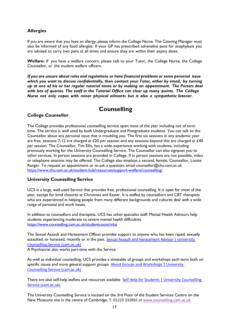# <span id="page-18-0"></span>**Allergies**

If you are aware that you have an allergy, please inform the College Nurse. The Catering Manager must also be informed of any food allergies. If your GP has prescribed adrenaline pens for anaphylaxis you are advised to carry two pens at all times and ensure they are within their expiry dates.

**Welfare:** If you have a welfare concern, please talk to your Tutor, the College Nurse, the College Counsellor, or the student welfare officers.

*If you are unsure about rules and regulations or have financial problems or some personal issue which you want to discuss confidentially, then contact your Tutor, either by email, by turning up at one of his or her regular tutorial times or by making an appointment. The Porters deal with lots of queries. The staff in the Tutorial Office can clear up many points. The College Nurse not only copes with minor physical ailments but is also a sympathetic listener.*

# **Counselling**

# <span id="page-18-2"></span><span id="page-18-1"></span>**College Counsellor**

The College provides professional counselling service open most of the year including out of term time. The service is well used by both Undergraduate and Postgraduate students. You can talk to the Counsellor about any personal issue that is troubling you. The first six sessions in any academic year are free, sessions 7-12 are charged at £20 per session and any sessions beyond this are charged at £40 per session. The Counsellor, Tim Ellis, has a wide experience working with students, including previously working for the University Counselling Service. The Counsellor can also signpost you to other services. In person sessions are provided in College. If in person sessions are not possible, video or telephone sessions may be offered. The College also employs a second, female, Counsellor, Louise Ranger. To request an appointment or to ask a question, email counsellor@chu.cam.ac.uk <https://www.chu.cam.ac.uk/student-hub/resources/support-welfare/counselling/>

# <span id="page-18-3"></span>**University Counselling Service**

UCS is a large, well-used Service that provides free, professional counselling. It is open for most of the year, except for brief closures at Christmas and Easter. It is staffed by counsellors and CBT therapists who are experienced in helping people from many different backgrounds and cultures deal with a wide range of personal and work issues.

In addition to counsellors and therapists, UCS has other specialist staff: Mental Health Advisors help students experiencing moderate to severe mental health difficulties. <https://www.counselling.cam.ac.uk/studentcouns/mha>

The Sexual Assault and Harassment Officer provides support to anyone who has been raped, sexually assaulted, or harassed, recently or in the past. [Sexual Assault and Harassment Advisor | University](https://www.counselling.cam.ac.uk/sexual-assault-and-harassment-advisor)  [Counselling Service \(cam.ac.uk\)](https://www.counselling.cam.ac.uk/sexual-assault-and-harassment-advisor)

A Psychiatrist also works part-time with the Service.

As well as individual counselling, UCS provides a timetable of groups and workshops each term both on specific issues and more general support groups. [About Groups and Workshops | University](https://www.counselling.cam.ac.uk/GroupsAndWorkshops)  [Counselling Service \(cam.ac.uk\)](https://www.counselling.cam.ac.uk/GroupsAndWorkshops)

There are also self-help leaflets and resources available Self Help for Students | University Counselling [Service \(cam.ac.uk\)](https://www.counselling.cam.ac.uk/selfhelp/newselhe)

The University Counselling Service is located on the 3rd Floor of the Student Services Centre on the New Museums site in the centre of Cambridge. T: 01223 332865 or [www.counselling.cam.ac.uk](http://www.counselling.cam.ac.uk/)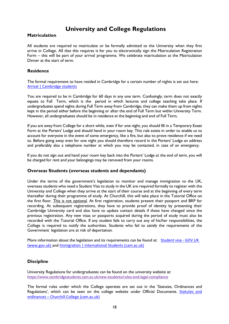# **University and College Regulations**

### <span id="page-19-1"></span><span id="page-19-0"></span>**Matriculation**

All students are required to matriculate or be formally admitted to the University when they first arrive in College. All that this requires is for you to electronically sign the Matriculation Registration Form – this will be part of your arrival programme. We celebrate matriculation at the Matriculation Dinner at the start of term.

### <span id="page-19-2"></span>**Residence**

The formal requirement to have resided in Cambridge for a certain number of nights is set out here: [Arrival | Cambridge students](https://www.cambridgestudents.cam.ac.uk/new-students/arrival)

You are required to be in Cambridge for 60 days in any one term. Confusingly, term does not exactly equate to Full Term, which is the period in which lectures and college teaching take place. If undergraduates spend nights during Full Term away from Cambridge, they can make them up from nights kept in the period either before the beginning or after the end of Full Term but within University Term. However, all undergraduates should be in residence at the beginning and end of Full Term.

If you are away from College for a short while, even if for one night, you should fill in a Temporary Exeat Form at the Porters' Lodge and should hand in your room key. This rule exists in order to enable us to account for everyone in the event of some emergency, like a fire, but also to prove residence if we need to. Before going away even for one night you should therefore record in the Porters' Lodge an address and preferably also a telephone number at which you may be contacted, in case of an emergency.

If you do not sign out and hand your room key back into the Porters' Lodge at the end of term, you will be charged for rent and your belongings may be removed from your rooms.

#### <span id="page-19-3"></span>**Overseas Students (overseas students and dependants)**

Under the terms of the government's legislation to monitor and manage immigration to the UK, overseas students who need a Student Visa to study in the UK are required formally to register with the University and College when they arrive at the start of their course and at the beginning of every term thereafter during their programme of study. At Churchill, this will take place in the Tutorial Office on the first floor. This is not optional. At first registration, students present their passport and BRP for recording. At subsequent registrations, they have to provide proof of identity by presenting their Cambridge University card and also have to update contact details if these have changed since the previous registration. Any new visas or passports acquired during the period of study must also be recorded with the Tutorial Office. If any student fails to carry out any of his/her responsibilities, the College is required to notify the authorities. Students who fail to satisfy the requirements of the Government legislation are at risk of deportation.

More information about the legislation and its requirements can be found at: [Student visa -](http://www.ukba.homeoffice.gov.uk/studyingintheuk/) GOV.UK [\(www.gov.uk\)](http://www.ukba.homeoffice.gov.uk/studyingintheuk/) and [Immigration | International Students \(cam.ac.uk\)](https://www.internationalstudents.cam.ac.uk/immigration)

#### <span id="page-19-4"></span>**Discipline**

University Regulations for undergraduates can be found on the university website at: <https://www.cambridgestudents.cam.ac.uk/new-students/rules-and-legal-compliance>

The formal rules under which the College operates are set out in the 'Statutes, Ordinances and Regulations', which can be seen on the college website under Official Documents. **Statutes and** ordinances – [Churchill College \(cam.ac.uk\)](https://www.chu.cam.ac.uk/about/official-documents/statutes-and-ordinances/)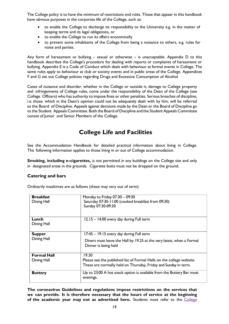The College policy is to have the minimum of restrictions and rules. Those that appear in this handbook have obvious purposes in the corporate life of the College, such as:

- to enable the College to discharge its responsibility to the University e.g. in the matter of keeping terms and its legal obligations, or
- to enable the College to run its affairs economically
- to prevent some inhabitants of the College from being a nuisance to others, e.g. rules for noise and parties.

Any form of harassment or bullying  $-$  sexual or otherwise  $-$  is unacceptable. Appendix  $D$  to this handbook describes the College's procedure for dealing with reports or complaints of harassment or bullying. Appendix E is a Code of Conduct which deals with behaviour at formal events in College. The same rules apply to behaviour at club or society events and in public areas of the College. Appendices F and G set out College policies regarding Drugs and Excessive Consumption of Alcohol.

Cases of nuisance and disorder, whether in the College or outside it, damage to College property and infringements of College rules, come under the responsibility of the Dean of the College (see College Officers) who has authority to impose fines or other penalties. Serious breaches of discipline, i.e. those which in the Dean's opinion could not be adequately dealt with by him, will be referred to the Board of Discipline. Appeals against decisions made by the Dean or the Board of Discipline go to the Student Appeals Committee. Both the Board of Discipline and the Student Appeals Committee consist of Junior and Senior Members of the College.

# **College Life and Facilities**

<span id="page-20-0"></span>See the Accommodation Handbook for detailed practical information about living in College. The following information applies to those living in or out of College accommodation.

**Smoking, including e–cigarettes,** is not permitted in any buildings on the College site and only in designated areas in the grounds. Cigarette butts must not be dropped on the ground.

# <span id="page-20-1"></span>**Catering and bars**

Ordinarily mealtimes are as follows (these may vary out of term)

| <b>Breakfast</b><br>Dining Hall   | Monday to Friday 07:30 - 09:30<br>Saturday 07:30-11:00 (cooked breakfast from 09:30)<br>Sunday 07:30-09:30                                        |
|-----------------------------------|---------------------------------------------------------------------------------------------------------------------------------------------------|
| Lunch<br>Dining Hall              | 12.15 - 14:00 every day during Full term                                                                                                          |
| <b>Supper</b><br>Dining Hall      | 17:45 - 19.15 every day during Full term<br>Diners must leave the Hall by 19.25 at the very latest, when a Formal<br>Dinner is being held         |
| <b>Formal Hall</b><br>Dining Hall | 19.30<br>Please see the published list of Formal Halls on the college website.<br>These are normally held on Thursday, Friday and Sunday in term. |
| <b>Buttery</b>                    | Up to 23:00 A hot snack option is available from the Buttery Bar most<br>evenings.                                                                |

**The coronavirus Guidelines and regulations impose restrictions on the services that we can provide. It is therefore necessary that the hours of service at the beginning of the academic year may not as advertised here.** Students must refer to the [College](https://www.chu.cam.ac.uk/news/coronavirus-guidance-for-all/)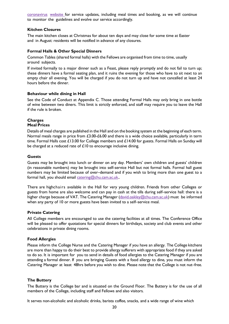[coronavirus](https://www.chu.cam.ac.uk/news/coronavirus-guidance-for-all/) [website](https://www.chu.cam.ac.uk/news/coronavirus-guidance-for-all/) for service updates, including meal times and booking, as we will continue to monitor the guidelines and evolve our service accordingly.

#### <span id="page-21-0"></span>**Kitchen Closures**

The main kitchen closes at Christmas for about ten days and may close for some time at Easter and in August: residents will be notified in advance of any closures.

#### <span id="page-21-1"></span>**Formal Halls & Other Special Dinners**

Common Tables (shared formal halls) with the Fellows are organised from time to time, usually around subjects.

If invited formally to a major dinner such as a Feast, please reply promptly and do not fail to turn up; these dinners have a formal seating plan, and it ruins the evening for those who have to sit next to an empty chair all evening. You will be charged if you do not turn up and have not cancelled at least 24 hours before the dinner.

#### <span id="page-21-2"></span>**Behaviour while dining in Hall**

See the Code of Conduct at Appendix C. Those attending Formal Halls may only bring in one bottle of wine between two diners. This limit is strictly enforced, and staff may require you to leave the Hall if the rule is broken.

#### <span id="page-21-3"></span>**Charges Meal Prices**

Details of meal charges are published in the Hall and on the booking system at the beginning of each term. Normal meals range in price from £3.00-£6.00 and there is a wide choice available, particularly in term time. Formal Halls cost £13.00 for College members and £14.00 for guests. Formal Halls on Sunday will be charged at a reduced rate of  $£10$  to encourage inclusive dining.

#### <span id="page-21-4"></span>**Guests**

Guests may be brought into lunch or dinner on any day. Members' own children and guests' children (in reasonable numbers) may be brought into self-service Hall but not formal halls. Formal hall guest numbers may be limited because of over–demand and if you wish to bring more than one guest to a formal hall, you should email [catering@chu.cam.ac.uk..](mailto:catering@chu.cam.ac.uk)

There are highchairs available in the Hall for very young children. Friends from other Colleges or guests from home are also welcome and can pay in cash at the tills during self–service hall: there is a higher charge because of VAT. The Catering Manager [\(david.oakley@chu.cam.ac.uk\)](mailto:david.oakley@chu.cam.ac.uk) must be informed when any party of 10 or more guests have been invited to a self–service meal.

#### <span id="page-21-5"></span>**Private Catering**

All College members are encouraged to use the catering facilities at all times. The Conference Office will be pleased to offer quotations for special dinners for birthdays, society and club events and other celebrations in private dining rooms.

#### <span id="page-21-6"></span>**Food Allergies**

Please inform the College Nurse and the Catering Manager if you have an allergy. The College kitchens are more than happy to do their best to provide allergy sufferers with appropriate food if they are asked to do so. It is important for you to send in details of food allergies to the Catering Manager if you are attending a formal dinner. If you are bringing Guests with a food allergy to dine, you must inform the Catering Manager at least 48hrs before you wish to dine. Please note that the College is not nut–free.

#### <span id="page-21-7"></span>**The Buttery**

The Buttery is the College bar and is situated on the Ground Floor. The Buttery is for the use of all members of the College, including staff and Fellows and also visitors.

It serves non-alcoholic and alcoholic drinks, barista coffee, snacks, and a wide range of wine which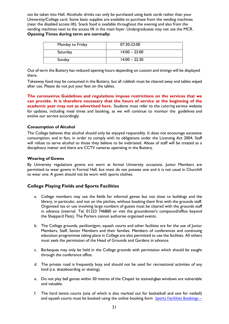can be taken into Hall. Alcoholic drinks can only be purchased using bank cards rather than your University/College card. Some basic supplies are available to purchase from the vending machines (near the disabled access lift). Snack food is available throughout the evening and also from the vending machines next to the access lift in the main foyer. Undergraduates may not use the MCR. **Opening Times during term are normally:**

| Monday to Friday | 07:30-23:00     |
|------------------|-----------------|
| Saturday         | $14:00 - 23:00$ |
| Sunday           | $14:00 - 22:30$ |

Out of term the Buttery has reduced opening hours depending on custom and timings will be displayed there.

Takeaway food may be consumed in the Buttery, but all rubbish must be cleared away and tables wiped after use. Please do not put your feet on the tables.

**The coronavirus Guidelines and regulations impose restrictions on the services that we can provide. It is therefore necessary that the hours of service at the beginning of the academic year may not as advertised here.** Students must refer to the catering service website for updates, including meal times and booking, as we will continue to monitor the guidelines and evolve our service accordingly.

#### <span id="page-22-0"></span>**Consumption of Alcohol**

The College believes that alcohol should only be enjoyed responsibly. It does not encourage excessive consumption, and in fact, in order to comply with its obligations under the Licensing Act 2004, Staff will refuse to serve alcohol to those they believe to be inebriated. Abuse of staff will be treated as a disciplinary matter and there are CCTV cameras operating in the Buttery.

#### <span id="page-22-1"></span>**Wearing of Gowns**

By University regulations gowns are worn at formal University occasions. Junior Members are permitted to wear gowns in Formal Hall, but most do not possess one and it is not usual in Churchill to wear one. A gown should not be worn with sports clothes.

#### <span id="page-22-2"></span>**College Playing Fields and Sports Facilities**

- a. College members may use the fields for informal games but not close to buildings and the library, in particular, and not on the pitches, without booking them first with the grounds staff. Organised tea or use involving large numbers of guests must be cleared with the grounds staff in advance (internal. Tel. 01223 746860 or visit the groundsmen's compound/office beyond the Sheppard Flats). The Porters cannot authorise organised events.
- b. The College grounds, pavilion/gym, squash courts and other facilities are for the use of Junior Members, Staff, Senior Members and their families. Members of conferences and continuing education programmes taking place in College are also permitted to use the facilities. All others must seek the permission of the Head of Grounds and Gardens in advance.
- c. Barbeques may only be held in the College grounds with permission which should be sought through the conference office.
- d. The private road is frequently busy and should not be used for recreational activities of any kind (i.e. skateboarding or skating).
- e. Do not play ball games within 50 metres of the Chapel: its stained-glass windows are vulnerable and valuable.
- f. The hard tennis courts (one of which is also marked out for basketball and one for netball) and squash courts must be booked using the online booking form [Sports Facilities Bookings](https://www.chu.cam.ac.uk/sports-facilities-bookings/) –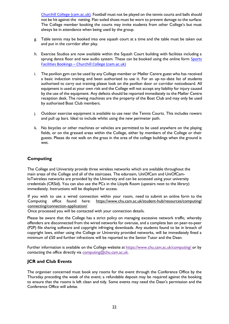[Churchill College \(cam.ac.uk\)](https://www.chu.cam.ac.uk/sports-facilities-bookings/). Football must not be played on the tennis courts and balls should not be hit against the netting. Flat–soled shoes must be worn to prevent damage to the surface. The College member booking the courts may invite students from other College's but must always be in attendance when being used by the group.

- g. Table tennis may be booked into one squash court at a time and the table must be taken out and put in the corridor after play.
- h. Exercise Studios are now available within the Squash Court building with facilities including a sprung dance floor and new audio system. These can be booked using the online form Sports Facilities Bookings – [Churchill College \(cam.ac.uk\)](https://www.chu.cam.ac.uk/sports-facilities-bookings/)
- i. The pavilion gym can be used by any College member or Møller Centre guest who has received a basic induction training and been authorised to use it. For an up–to–date list of students authorised to carry out training please look on the pavilion door or corridor noticeboard. All equipment is used at your own risk and the College will not accept any liability for injury caused by the use of the equipment. Any defects should be reported immediately to the Møller Centre reception desk. The rowing machines are the property of the Boat Club and may only be used by authorised Boat Club members.
- j. Outdoor exercise equipment is available to use near the Tennis Courts. This includes rowers and pull up bars. Ideal to include whilst using the new perimeter path.
- k. No bicycles or other machines or vehicles are permitted to be used anywhere on the playing fields, or on the grassed areas within the College, either by members of the College or their guests. Please do not walk on the grass in the area of the college buildings when the ground is wet.

# <span id="page-23-0"></span>**Computing**

The College and University provide three wireless networks which are available throughout the main areas of the College and all of the staircases. The eduroam, UniOfCam and UniOfCam-IoTwireless networks are provided by the University and can be accessed using your university credentials (CRSid). You can also use the PCs in the Lloyds Room (upstairs next to the library) immediately. Instructions will be displayed for access.

If you wish to use a wired connection within your room, need to submit an online form to the Computing office found here: [https://www.chu.cam.ac.uk/student-hub/resources/computing/](http://www.chu.cam.ac.uk/student-hub/resources/computing/) connecting/connection-application/

Once processed you will be contacted with your connection details.

Please be aware that the College has a strict policy on managing excessive network traffic, whereby offenders are disconnected from the wired networks for overuse, and a complete ban on peer-to-peer (P2P) file sharing software and copyright infringing downloads. Any students found to be in breach of copyright laws, either using the College or University provided networks, will be immediately fined a minimum of £50 and further infractions will be reported to the Senior Tutor and the Dean.

Further information is available on the College website at <https://www.chu.cam.ac.uk/computing/> or by contacting the office directly via [computing@chu.cam.ac.uk.](mailto:computing@chu.cam.ac.uk)

# <span id="page-23-1"></span>**JCR and Club Events**

The organiser concerned must book any rooms for the event through the Conference Office by the Thursday preceding the week of the event; a refundable deposit may be required against the booking to ensure that the rooms is left clean and tidy. Some events may need the Dean's permission and the Conference Office will advise.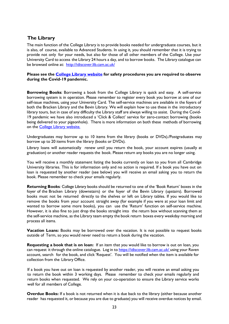# <span id="page-24-0"></span>**The Library**

The main function of the College Library is to provide books needed for undergraduate courses, but it is also, of course, available to Advanced Students. In using it, you should remember that it is trying to provide not only for your needs, but also for those of all other members of the College. Use your University Card to access the Library 24 hours a day, and to borrow books. The Library catalogue can be browsed online at: <http://idiscover.lib.cam.ac.uk/>

#### **Please see the [College Library website](https://www.chu.cam.ac.uk/student-hub/college-facilities/college-library/) for safety procedures you are required to observe during the Covid-19 pandemic.**

**Borrowing Books**: Borrowing a book from the College Library is quick and easy. A self-service borrowing system is in operation. Please remember to register every book you borrow at one of our self-issue machines, using your University Card. The self-service machines are available in the foyers of both the Bracken Library and the Bevin Library. We will explain how to use these in the introductory library tours, but in case of any difficulty the Library staff are always willing to assist. During the Covid-19 pandemic we have also introduced a 'Click & Collect' service for zero-contact borrowing (books being delivered to your pigeonhole). There is more information on both these methods of borrowing on the **College Library website.** 

Undergraduates may borrow up to 10 items from the library (books or DVDs)./Postgraduates may borrow up to 20 items from the library (books or DVDs).

Library loans will automatically renew until you return the book, your account expires (usually at graduation) or another reader requests the book. Please return any books you are no longer using.

You will receive a monthly statement listing the books currently on loan to you from all Cambridge University libraries. This is for information only and no action is required. If a book you have out on loan is requested by another reader (see below) you will receive an email asking you to return the book. Please remember to check your emails regularly.

**Returning Books**: College Library books should be returned to one of the 'Book Return' boxes in the foyer of the Bracken Library (downstairs) or the foyer of the Bevin Library (upstairs). Borrowed books must not be returned directly to the shelves or left on Library tables. If you would like to remove the books from your account straight away (for example if you were at your loan limit and wanted to borrow some more books), you can use the 'Return' function on self-service machine. However, it is also fine to just drop the books straight into the return box without scanning them at the self-service machine, as the Library team empty the book return boxes every weekday morning and process all items.

**Vacation Loans:** Books may be borrowed over the vacation. It is not possible to request books outside of Term, so you would never need to return a book during the vacation.

**Requesting a book that is on loan:** If an item that you would like to borrow is out on loan, you can request it through the online catalogue. Log in to <https://idiscover.lib.cam.ac.uk/> using your Raven account, search for the book, and click 'Request'. You will be notified when the item is available for collection from the Library Office.

If a book you have out on loan is requested by another reader, you will receive an email asking you to return the book within 3 working days. Please remember to check your emails regularly and return books when requested. We rely on your co-operation to ensure the Library service works well for all members of College.

**Overdue Books:** If a book is not returned when it is due back to the library (either because another reader has requested it, or because you are due to graduate) you will receive overdue notices by email.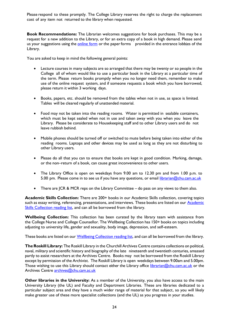Please respond to these promptly. The College Library reserves the right to charge the replacement cost of any item not returned to the library when requested.

**Book Recommendations:** The Librarian welcomes suggestions for book purchases. This may be a request for a new addition to the Library, or for an extra copy of a book in high demand. Please send us your suggestions using the [online](https://www.chu.cam.ac.uk/student-hub/college-facilities/college-library/recommend-book/) form or the paper forms provided in the entrance lobbies of the Library.

You are asked to keep in mind the following general points:

- Lecture courses in many subjects are so arranged that there may be twenty or so people in the College all of whom would like to use a particular book in the Library at a particular time of the term. Please return books promptly when you no longer need them, remember to make use of the online request system, and if someone requests a book which you have borrowed, please return it within 3 working days.
- Books, papers, etc. should be removed from the tables when not in use, as space is limited. Tables will be cleared regularly of unattended material.
- Food may not be taken into the reading rooms. Water is permitted in sealable containers, which must be kept sealed when not in use and taken away with you when you leave the Library. Please be considerate to Housekeeping staff and to other Library users and do not leave rubbish behind.
- Mobile phones should be turned off or switched to mute before being taken into either of the reading rooms. Laptops and other devices may be used as long as they are not disturbing to other Library users.
- Please do all that you can to ensure that books are kept in good condition. Marking, damage, or the non–return of a book, can cause great inconvenience to other users.
- The Library Office is open on weekdays from 9.00 am to 12.30 pm and from 1.00 p.m. to 5.00 pm. Please come in to see us if you have any questions, or email [librarian@chu.cam.ac.uk](mailto:librarian@chu.cam.ac.uk)
- There are JCR & MCR reps on the Library Committee do pass on any views to them also.

**Academic Skills Collection:** There are 200+ books in our Academic Skills collection, covering topics such as essay writing, referencing, presentations, and interviews. These books are listed on our **Academic** [Skills Collection reading list,](https://cam.alma.exlibrisgroup.com/leganto/readinglist/lists/8198031680003606?institute=44CAM_INST&auth=SAML) and can all be borrowed from the library.

**Wellbeing Collection:** This collection has been curated by the library team with assistance from the College Nurse and College Counsellor. The Wellbeing Collection has 150+ books on topics including adjusting to university life, gender and sexuality, body image, depression, and self-esteem.

These books are listed on our [Wellbeing Collection reading list,](https://cam.alma.exlibrisgroup.com/leganto/public/44CAM_INST/lists/8208746160003606?auth=SAML) and can all be borrowed from the library.

<span id="page-25-0"></span>**TheRoskill Library:** The Roskill Library in the Churchill Archives Centre contains collections on political, naval, military and scientific history and biography of the late nineteenth and twentieth centuries, amassed partly to assist researchers at the Archives Centre. Books may not be borrowed from the Roskill Library except by permission of the Archivist. The Roskill Library is open weekdays between 9.00am and 5.00pm. Those wishing to use this Library should contact either the Library office [librarian@chu.cam.ac.uk](mailto:librarian@chu.cam.ac.uk) or the Archives Centre [archives@chu.cam.ac.uk](mailto:archives@chu.cam.ac.uk)

<span id="page-25-1"></span>**Other libraries in the University:** As a member of the University, you also have access to the main University Library (the UL) and Faculty and Department Libraries. These are libraries dedicated to a particular subject area and they have a much wider range of material for that subject, so you will likely make greater use of these more specialist collections (and the UL) as you progress in your studies.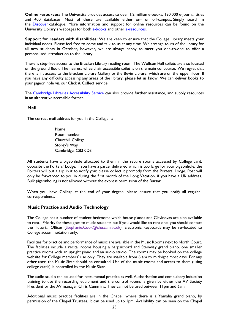<span id="page-26-0"></span>**Online resources:** The University provides access to over 1.2 million e-books, 130,000 e-journal titles and 400 databases. Most of these are available either on- or off-campus. Simply search n the *[iDiscover](https://idiscover.lib.cam.ac.uk/)* catalogue. More information and support for online resources can be found on the University Library's webpages for both [e-books](mailto:e-books) and other [e-resources.](https://www.libraries.cam.ac.uk/eresources/search-and-discovery-tools)

<span id="page-26-1"></span>**Support for readers with disabilities:** We are keen to ensure that the College Library meets your individual needs. Please feel free to come and talk to us at any time. We arrange tours of the library for all new students in October, however, we are always happy to meet you one-to-one to offer a personalised introduction to the library.

There is step-free access to the Bracken Library reading room. The Wolfson Hall toilets are also located on the ground floor. The nearest wheelchair accessible toilet is on the main concourse. We regret that there is lift access to the Bracken Library Gallery or the Bevin Library, which are on the upper floor. If you have any difficulty accessing any areas of the library, please let us know. We can deliver books to your pigeon hole via our Click & Collect service.

The [Cambridge Libraries Accessibility Service](https://libguides.cam.ac.uk/accessibility) can also provide further assistance, and supply resources in an alternative accessible format.

#### <span id="page-26-2"></span>**Mail**

The correct mail address for you in the College is:

Name Room number Churchill College Storey's Way Cambridge, CB3 0DS

All students have a pigeonhole allocated to them in the secure rooms accessed by College card, opposite the Porters' Lodge. If you have a parcel delivered which is too large for your pigeonhole, the Porters will put a slip in it to notify you: please collect it promptly from the Porters' Lodge. Post will only be forwarded to you in during the first month of the Long Vacation, if you have a UK address. Bulk pigeonholing is not allowed without the express permission of the Bursar.

When you leave College at the end of your degree, please ensure that you notify all regular correspondents.

#### <span id="page-26-3"></span>**Music Practice and Audio Technology**

The College has a number of student bedrooms which house pianos and Clavinovas are also available to rent. Priority for these goes to music students but if you would like to rent one, you should contact the Tutorial Officer [\(Stephanie.Cook@chu.cam.ac.uk\)](mailto:Stephanie.Cook@chu.cam.ac.uk). Electronic keyboards may be re-located to College accommodation only.

Facilities for practice and performance of music are available in the Music Rooms next to North Court. The facilities include a recital rooms housing a harpsichord and Steinway grand piano, one smaller practice rooms with an upright piano and an audio studio. The rooms may be booked on the college website for College members' use only. They are available from 6 am to midnight most days. For any other user, the Music Sizar should be consulted. Use of the music rooms and access to them (using college cards) is controlled by the Music Sizar.

The audio studio can be used for instrumental practice as well. Authorisation and compulsory induction training to use the recording equipment and the control rooms is given by either the AV Society President or the AV manager Chris Cummins. They cannot be used between 11pm and 6am.

Additional music practice facilities are in the Chapel, where there is a Yamaha grand piano, by permission of the Chapel Trustees. It can be used up to 1pm. Availability can be seen on the Chapel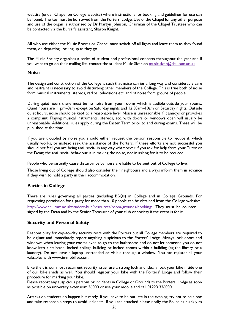website (under Chapel on College website) where instructions for booking and guidelines for use can be found. The key must be borrowed from the Porters' Lodge. Use of the Chapel for any other purpose and use of the organ is authorised by Dr Martyn Johnson, Chairman of the Chapel Trustees who can be contacted via the Bursar's assistant, Sharon Knight.

All who use either the Music Rooms or Chapel must switch off all lights and leave them as they found them, on departing, locking up as they go.

The Music Society organises a series of student and professional concerts throughout the year and if you want to go on their mailing list, contact the student Music Sizar on [music.sizar@chu.cam.ac.uk](mailto:music.sizar@chu.cam.ac.uk)

#### <span id="page-27-0"></span>**Noise**

The design and construction of the College is such that noise carries a long way and considerable care and restraint is necessary to avoid disturbing other members of the College. This is true both of noise from musical instruments, stereos, radios, televisions etc. and of noise from groups of people.

During quiet hours there must be no noise from your rooms which is audible outside your rooms. Quiet hours are 11pm–8am except on Saturday nights and 12.30am–10am on Saturday nights. Outside quiet hours, noise should be kept to a reasonable level. Noise is unreasonable if it annoys or provokes a complaint. Playing musical instruments, stereos, etc. with doors or windows open will usually be unreasonable. Additional rules apply during the Easter Term prior to and during exams. These will be published at the time.

If you are troubled by noise you should either request the person responsible to reduce it, which usually works, or instead seek the assistance of the Porters. If these efforts are not successful you should not feel you are being anti–social in any way whatsoever if you ask for help from your Tutor or the Dean; the anti–social behaviour is in making the noise, not in asking for it to be reduced.

People who persistently cause disturbance by noise are liable to be sent out of College to live.

Those living out of College should also consider their neighbours and always inform them in advance if they wish to hold a party in their accommodation.

#### <span id="page-27-1"></span>**Parties in College**

There are rules governing all parties (including BBQs) in College and in College Grounds. For requesting permission for a party for more than 10 people can be obtained from the College website: [http://www.chu.cam.ac.uk/student-hub/resources/room-grounds-bookings.](http://www.chu.cam.ac.uk/student-hub/resources/room-grounds-bookings) They must be counter signed by the Dean and by the Senior Treasurer of your club or society if the event is for it.

#### <span id="page-27-2"></span>**Security and Personal Safety**

Responsibility for day–to–day security rests with the Porters but all College members are required to be vigilant and immediately report anything suspicious to the Porters' Lodge. Always lock doors and windows when leaving your rooms even to go to the bathrooms and do not let someone you do not know into a staircase, locked college building or locked rooms within a building (eg the library or a laundry). Do not leave a laptop unattended or visible through a window. You can register all your valuables with [www.immobilise.com.](http://www.immobilise.com/)

Bike theft is our most recurrent security issue: use a strong lock and ideally lock your bike inside one of our bike sheds as well. You should register your bike with the Porters' Lodge and follow their procedure for marking your bike.

Please report any suspicious persons or incidents in College or Grounds to the Porters' Lodge as soon as possible on university extension: 36000 or use your mobile and call 01223 336000

Attacks on students do happen but rarely. If you have to be out late in the evening, try not to be alone and take reasonable steps to avoid incidents. If you are attacked please notify the Police as quickly as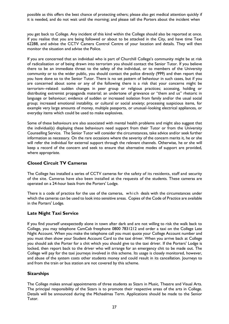possible as this offers the best chance of protecting others; please also get medical attention quickly if it is needed, and do not wait until the morning; and please tell the Porters about the incident when

you get back to College. Any incident of this kind within the College should also be reported at once. If you realise that you are being followed or about to be attacked in the City, and have time Text 62288, and advise the CCTV Camera Control Centre of your location and details. They will then monitor the situation and advise the Police.

If you are concerned that an individual who is part of Churchill College's community might be at risk of radicalisation or of being drawn into terrorism you should contact the Senior Tutor. If you believe there to be an immediate threat to the safety of the individual, or to members of the University community or to the wider public, you should contact the police directly (999) and then report that you have done so to the Senior Tutor. There is no set pattern of behaviour in such cases, but if you are concerned about some or any of the following there is a risk that your concerns might be terrorism–related: sudden changes in peer group or religious practices; accessing, holding or distributing extremist propaganda material; an undertone of grievance or "them and us" rhetoric in language or behaviour; evidence of sudden or increased isolation from family and/or the usual social group; increased emotional instability, or cultural or social anxiety; processing suspicious items, for example very large amounts of money, multiple passports, or unusual–looking electrical appliances, or everyday items which could be used to make explosives.

Some of these behaviours are also associated with mental health problems and might also suggest that the individual(s) displaying these behaviours need support from their Tutor or from the University Counselling Service. The Senior Tutor will consider the circumstances, take advice and/or seek further information as necessary. On the rare occasions where the severity of the concern merits it, he or she will refer the individual for external support through the relevant channels. Otherwise, he or she will keep a record of the concern and seek to ensure that alternative modes of support are provided, where appropriate.

# <span id="page-28-0"></span>**Closed Circuit TV Cameras**

The College has installed a series of CCTV cameras for the safety of its residents, staff and security of the site. Cameras have also been installed at the requests of the students. These cameras are operated on a 24-hour basis from the Porters' Lodge.

There is a code of practice for the use of the cameras, which deals with the circumstances under which the cameras can be used to look into sensitive areas. Copies of the Code of Practice are available in the Porters' Lodge.

# <span id="page-28-1"></span>**Late Night Taxi Service**

If you find yourself unexpectedly alone in town after dark and are not willing to risk the walk back to College, you may telephone CamCab freephone 0800 7831212 and order a taxi on the College Late Night Account. When you make the telephone call you must quote your College Account number and you must then show your Student Account Card to the taxi driver. When you arrive back at College you should ask the Porter for a chit which you should give to the taxi driver. If the Porters' Lodge is locked, then report back to the driver who will arrange for an emergency chit to be made out. The College will pay for the taxi journeys involved in this scheme. Its usage is closely monitored, however, and abuse of the system costs other students money and could result in its cancellation. Journeys to and from the train or bus station are not covered by this scheme.

#### <span id="page-28-2"></span>**Sizarships**

The College makes annual appointments of three students as Sizars in Music, Theatre and Visual Arts. The principal responsibility of the Sizars is to promote their respective areas of the arts in College. Details will be announced during the Michaelmas Term. Applications should be made to the Senior Tutor.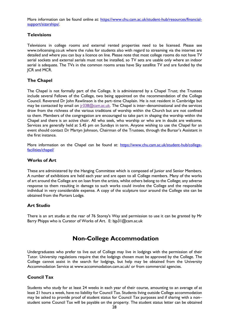More information can be found online at: [https://www.chu.cam.ac.uk/student-hub/resources/financial](https://www.chu.cam.ac.uk/student-hub/resources/financial-support/sizarships/)[support/sizarships/.](https://www.chu.cam.ac.uk/student-hub/resources/financial-support/sizarships/)

#### <span id="page-29-0"></span>**Televisions**

Televisions in college rooms and external rented properties need to be licensed. Please see [www.tvlicensing.co.uk](http://www.tvlicensing.co.uk/) where the rules for students also with regard to streaming via the internet are detailed and where you can buy a licence on line. Please note that most college rooms do not have TV aerial sockets and external aerials must not be installed, so TV sets are usable only where an indoor aerial is adequate. The TVs in the common rooms areas have Sky satellite TV and are funded by the JCR and MCR.

# <span id="page-29-1"></span>**The Chapel**

The Chapel is not formally part of the College. It is administered by a Chapel Trust; the Trustees include several Fellows of the College, two being appointed on the recommendation of the College Council. Reverend Dr John Rawlinson is the part–time Chaplain. He is not resident in Cambridge but may be contacted by email on  $jr338@cam.ac.uk$ . The Chapel is inter-denominational and the services draw from the richness of the various traditions of worship within the Church but are not confined to them. Members of the congregation are encouraged to take part in shaping the worship within the Chapel and there is an active choir. All who seek, who worship or who are in doubt are welcome. Services are generally held at 5.45 pm on Sundays in term. Anyone wishing to use the Chapel for an event should contact Dr Martyn Johnson, Chairman of the Trustees, through the Bursar's Assistant in the first instance.

More information on the Chapel can be found at: [https://www.chu.cam.ac.uk/student-hub/college](https://www.chu.cam.ac.uk/student-hub/college-facilities/chapel/)[facilities/chapel/](https://www.chu.cam.ac.uk/student-hub/college-facilities/chapel/)

### <span id="page-29-2"></span>**Works of Art**

These are administered by the Hanging Committee which is composed of Junior and Senior Members. A number of exhibitions are held each year and are open to all College members. Many of the works of art around the College are on loan from the artists, whilst others belong to the College; any adverse response to them resulting in damage to such works could involve the College and the responsible individual in very considerable expense. A copy of the sculpture tour around the College site can be obtained from the Porters Lodge.

# <span id="page-29-3"></span>**Art Studio**

There is an art studio at the rear of 76 Storey's Way and permission to use it can be granted by Mr Barry Phipps who is Curator of Works of Art. [E: bjp31@cam.ac.uk](mailto:bjp31@cam.ac.uk)

# **Non-College Accommodation**

<span id="page-29-4"></span>Undergraduates who prefer to live out of College may live in lodgings with the permission of their Tutor. University regulations require that the lodgings chosen must be approved by the College. The College cannot assist in the search for lodgings, but help may be obtained from the University Accommodation Service at [www.accommodation.cam.ac.uk/](http://www.accommodation.cam.ac.uk/) or from commercial agencies.

# <span id="page-29-5"></span>**Council Tax**

Students who study for at least 24 weeks in each year of their course, amounting to an average of at least 21 hours a week, have no liability for Council Tax. Students living outside College accommodation may be asked to provide proof of student status for Council Tax purposes and if sharing with a non– student some Council Tax will be payable on the property. The student status letter can be obtained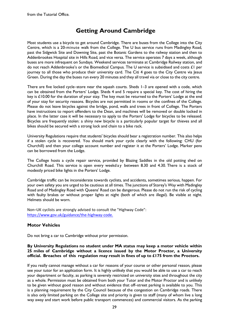# **Getting Around Cambridge**

<span id="page-30-0"></span>Most students use a bicycle to get around Cambridge. There are buses from the College into the City Centre, which is a 20-minute walk from the College. The U bus service runs from Madingley Road, past the Sidgwick Site and Downing Site, past the Botanic Gardens to the railway station and then to Addenbrookes Hospital site in Hills Road, and vice versa. The service operates 7 days a week, although buses are more infrequent on Sundays. Weekend services terminate at Cambridge Railway station, and do not reach Addenbrooke's or the Biomedical Campus. The U service is subsidised and costs £1 per journey to all those who produce their university card. The Citi 4 goes to the City Centre via Jesus Green. During the day the buses run every 20 minutes and they all travel via or close to the city centre.

There are five locked cycle–store near the squash courts. Sheds 1–3 are opened with a code, which can be obtained from the Porters' Lodge. Sheds 4 and 5 require a special key. The cost of hiring the key is £10.00 for the duration of your stay. The key must be returned to the Porters' Lodge at the end of your stay for security reasons. Bicycles are not permitted in rooms or the confines of the College. Please do not leave bicycles against the bridge, pond, walls and trees in front of College. The Porters have instructions to report offenders to the Dean, and machines will be removed or double locked in place. In the latter case it will be necessary to apply to the Porters' Lodge for bicycles to be released. Bicycles are frequently stolen: a shiny new bicycle is a particularly popular target for thieves and all bikes should be secured with a strong lock and chain to a bike rack.

University Regulations require that students' bicycles should bear a registration number. This also helps if a stolen cycle is recovered. You should mark your cycle clearly with the following: CHU (for Churchill) and then your college account number and register it at the Porters' Lodge. Marker pens can be borrowed from the Lodge.

The College hosts a cycle repair service, provided by Blazing Saddles in the old potting shed on Churchill Road. This service is open every weekday between 8.30 and 4.30. There is a stock of modestly priced bike lights in the Porters' Lodge.

Cambridge traffic can be inconsiderate towards cyclists, and accidents, sometimes serious, happen. For your own safety you are urged to be cautious at all times. The junctions of Storey's Way with Madingley Road and of Madingley Road with Queens' Road can be dangerous. Please do not run the risk of cycling with faulty brakes or without proper lights at night (both of which are illegal). Be visible at night. Helmets should be worn.

Non–UK cyclists are strongly advised to consult the "Highway Code": <https://www.gov.uk/guidance/the-highway-code.>

# <span id="page-30-1"></span>**Motor Vehicles**

Do not bring a car to Cambridge without prior permission.

#### **By University Regulations no student under MA status may keep a motor vehicle within 25 miles of Cambridge without a licence issued by the Motor Proctor, a University official. Breaches of this regulation may result in fines of up to £175 from the Proctors.**

If you really cannot manage without a car for reasons of your course or other personal reason, please see your tutor for an application form. It is highly unlikely that you would be able to use a car to reach your department or faculty, as parking is severely restricted on university sites and throughout the city as a whole. Permission must be obtained from both your Tutor and the Motor Proctor and is unlikely to be given without good reason and without evidence that off–street parking is available to you. This is a planning requirement by the City Council because of the congestion on Cambridge roads. There is also only limited parking on the College site and priority is given to staff (many of whom live a long way away and start work before public transport commences) and commercial visitors. As the parking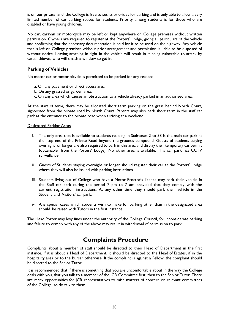is on our private land, the College is free to set its priorities for parking and is only able to allow a very limited number of car parking spaces for students. Priority among students is for those who are disabled or have young children.

No car, caravan or motorcycle may be left or kept anywhere on College premises without written permission. Owners are required to register at the Porters' Lodge, giving all particulars of the vehicle and confirming that the necessary documentation is held for it to be used on the highway. Any vehicle that is left on College premises without prior arrangement and permission is liable to be disposed of without notice. Leaving anything in sight in the vehicle will result in it being vulnerable to attack by casual thieves, who will smash a window to get in.

### <span id="page-31-0"></span>**Parking of Vehicles**

No motor car or motor bicycle is permitted to be parked for any reason:

- a. On any pavement or direct access area.
- b. On any grassed or garden area.
- c. On any area which causes an obstruction to a vehicle already parked in an authorised area.

At the start of term, there may be allocated short term parking on the grass behind North Court, signposted from the private road by North Court. Parents may also park short term in the staff car park at the entrance to the private road when arriving at a weekend.

#### Designated Parking Areas

- i. The only area that is available to students residing in Staircases 2 to 58 is the main car park at the top end of the Private Road beyond the grounds compound. Guests of students staying overnight or longer are also required to park in this area and display their temporary car permit (obtainable from the Porters' Lodge). No other area is available. This car park has CCTV surveillance.
- ii. Guests of Students staying overnight or longer should register their car at the Porters' Lodge where they will also be issued with parking instructions.
- iii. Students living out of College who have a Motor Proctor's licence may park their vehicle in the Staff car park during the period 7 pm to 7 am provided that they comply with the current registration instructions. At any other time they should park their vehicle in the Student and Visitors' car park.
- iv. Any special cases which students wish to make for parking other than in the designated area should be raised with Tutors in the first instance.

The Head Porter may levy fines under the authority of the College Council, for inconsiderate parking and failure to comply with any of the above may result in withdrawal of permission to park.

# **Complaints Procedure**

<span id="page-31-1"></span>Complaints about a member of staff should be directed to their Head of Department in the first instance. If it is about a Head of Department, it should be directed to the Head of Estates, if in the hospitality area or to the Bursar otherwise. If the complaint is against a Fellow, the complaint should be directed to the Senior Tutor.

It is recommended that if there is something that you are uncomfortable about in the way the College deals with you, that you talk to a member of the JCR Committee first, then to the Senior Tutor. There are many opportunities for JCR representatives to raise matters of concern on relevant committees of the College, so do talk to them.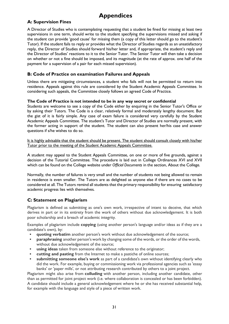# **Appendices**

# <span id="page-32-1"></span><span id="page-32-0"></span>**A: Supervision Fines**

A Director of Studies who is contemplating requesting that a student be fined for missing at least two supervisions in one term, should write to the student specifying the supervisions missed and asking if the student can provide 'good cause' for missing them (a copy of this letter should go to the student's Tutor). If the student fails to reply or provides what the Director of Studies regards as an unsatisfactory reply, the Director of Studies should forward his/her letter and, if appropriate, the student's reply and the Director of Studies' reactions to it to the Senior Tutor. The Senior Tutor will then take a decision on whether or not a fine should be imposed, and its magnitude (at the rate of approx. one half of the payment for a supervision of a pair for each missed supervision).

# <span id="page-32-2"></span>**B: Code of Practice on examination Failures and Appeals**

Unless there are mitigating circumstances, a student who fails will not be permitted to return into residence. Appeals against this rule are considered by the Student Academic Appeals Committee. In considering such appeals, the Committee closely follows an agreed Code of Practice.

### **The Code of Practice is not intended to be in any way secret or confidential**

Students are welcome to see a copy of the Code either by enquiring in the Senior Tutor's Office or by asking their Tutors. The Code is a clear, relatively formal and moderately lengthy document. But the gist of it is fairly simple. Any case of exam failure is considered very carefully by the Student Academic Appeals Committee. The student's Tutor and Director of Studies are normally present, with the former acting in support of the student. The student can also present her/his case and answer questions if s/he wishes to do so.

It is highly advisable that the student should be present. The student should consult closely with his/her Tutor prior to the meeting of the Student Academic Appeals Committee.

A student may appeal to the Student Appeals Committee, on one or more of five grounds, against a decision of the Tutorial Committee. The procedure is laid out in College Ordinances XVI and XVII which can be found on the College website under *Official Documents* in the section, About the College.

Normally, the number of failures is very small and the number of students not being allowed to remain in residence is even smaller. The Tutors are as delighted as anyone else if there are no cases to be considered at all. The Tutors remind all students that the primary responsibility for ensuring satisfactory academic progress lies with themselves.

# <span id="page-32-3"></span>**C: Statement on Plagiarism**

Plagiarism is defined as submitting as one's own work, irrespective of intent to deceive, that which derives in part or in its entirety from the work of others without due acknowledgement. It is both poor scholarship and a breach of academic integrity.

Examples of plagiarism include **copying** (using another person's language and/or ideas as if they are a candidate's own), by:

- **quoting verbatim** another person's work without due acknowledgement of the source;
- **paraphrasing** another person's work by changing some of the words, or the order of the words, without due acknowledgement of the source;
- using ideas taken from someone else without reference to the originator;
- cutting and pasting from the Internet to make a pastiche of online sources;
- **submitting someone else's work** as part of a candidate's own without identifying clearly who did the work. For example, buying or commissioning work via professional agencies such as 'essay banks' or 'paper mills', or not attributing research contributed by others to a joint project.

Plagiarism might also arise from **colluding** with another person, including another candidate, other than as permitted for joint project work (i.e. where collaboration is concealed or has been forbidden). A candidate should include a general acknowledgement where he or she has received substantial help, for example with the language and style of a piece of written work.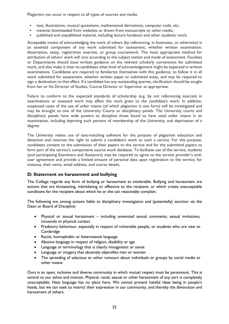Plagiarism can occur in respect to all types of sources and media:

- text, illustrations, musical quotations, mathematical derivations, computer code, etc;
- material downloaded from websites or drawn from manuscripts or other media;
- published and unpublished material, including lecture handouts and other students' work.

Acceptable means of acknowledging the work of others (by referencing, in footnotes, or otherwise) is an essential component of any work submitted for assessment, whether written examination, dissertation, essay, registration exercise, or group coursework. The most appropriate method for attribution of others' work will vary according to the subject matter and mode of assessment. Faculties or Departments should issue written guidance on the relevant scholarly conventions for submitted work, and also make it clear to candidates what level of acknowledgement might be expected in written examinations. Candidates are required to familiarize themselves with this guidance, to follow it in all work submitted for assessment, whether written paper or submitted essay, and may be required to sign a declaration to that effect. If a candidate has any outstanding queries, clarification should be sought from her or his Director of Studies, Course Director or Supervisor as appropriate.

Failure to conform to the expected standards of scholarship (e.g. by not referencing sources) in examinations or assessed work may affect the mark given to the candidate's work. In addition, suspected cases of the use of unfair means (of which plagiarism is one form) will be investigated and may be brought to one of the University Courts or disciplinary panels. The University courts and disciplinary panels have wide powers to discipline those found to have used unfair means in an examination, including depriving such persons of membership of the University, and deprivation of a degree.

The University makes use of text-matching software for the purpose of plagiarism education and detection and reserves the right to submit a candidate's work to such a service. For this purpose, candidates consent to the submission of their papers to the service and for the submitted papers to form part of the service's comparative source work database. To facilitate use of the service, students (and participating Examiners and Assessors) may be required to agree to the service provider's enduser agreement and provide a limited amount of personal data upon registration to the service, for instance, their name, email address, and course details.

#### <span id="page-33-0"></span>**D: Statement on harassment and bullying**

The College regards any form of bullying or harassment as intolerable. Bullying and harassment are actions that are threatening, intimidating or offensive to the recipient, or which create unacceptable conditions for the recipient about which he or she can reasonably complain.

The following are among actions liable to disciplinary investigation and (potentially) sanction via the Dean or Board of Discipline:

- Physical or sexual harassment including unwanted sexual comments, sexual invitations, innuendo or physical contact
- Predatory behaviour, especially in respect of vulnerable people, or students who are new to **Cambridge**
- Racist, homophobic or heterosexist language
- Abusive language in respect of religion, disability or age
- Language or terminology that is clearly misogynistic or sexist
- Language or imagery that abusively objectifies men or women
- The spreading of salacious or other rumours about individuals or groups by social media or other means

Ours is an open, inclusive and diverse community in which mutual respect must be paramount. This is central to our ethos and mission. Physical, racial, sexual or other harassment of any sort is completely unacceptable. Hate language has no place here. We cannot prevent hateful ideas being in people's heads, but we can seek to restrict their expression in our community, and thereby the diminution and harassment of others.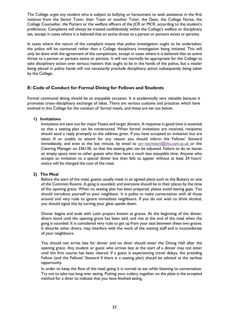The College urges any student who is subject to bullying or harassment to seek assistance in the first instance from the Senior Tutor, their Tutor or another Tutor, the Dean, the College Nurse, the College Counsellor, the Porters or the welfare officers of the JCR or MCR, according to the student's preference. Complaints will always be treated confidentially within the College's welfare or disciplinary tea, except in cases where it is believed that an active threat to a person or persons exists or persists.

In cases where the nature of the complaint means that police investigation ought to be undertaken, the police will be contacted rather than a College disciplinary investigation being initiated. This will only be done with the agreement of the complainant, except in cases where it is believed that an active threat to a person or persons exists or persists. It will not normally be appropriate for the College to take disciplinary action over serious matters that ought to be in the hands of the police, but a matter being placed in police hands will not necessarily preclude disciplinary action subsequently being taken by the College.

# <span id="page-34-0"></span>**E: Code of Conduct for Formal Dining for Fellows and Students**

Formal communal dining should be an enjoyable occasion. It is academically very valuable because it promotes cross–disciplinary exchange of ideas. There are various customs and practices which have evolved in this College for the conduct of formal meals, and these are set out below.

#### <span id="page-34-1"></span>**1) Invitations**

Invitations are sent out for major Feasts and larger dinners. A response in good time is essential so that a seating plan can be constructed. When formal invitations are received, recipients should send a reply promptly to the address given. If you have accepted an invitation but are taken ill or unable to attend for any reason you should inform the Fellows' Steward immediately, and even at the last minute, by email to  $\frac{\text{sc} - \text{sec}(\theta)}{2 \cdot \text{c} - \text{sec}(\theta)}$  or the Catering Manager on 336130, so that the seating plan can be adjusted. Failure to do so leaves an empty space next to other guests who then have a much less enjoyable time. Anyone who accepts an invitation to a special dinner but then fails to appear without at least 24 hours' notice will be charged the cost of the meal.

#### <span id="page-34-2"></span>**2) The Meal**

Before the start of the meal, guests usually meet in an agreed place such as the Buttery or one of the Common Rooms. A gong is sounded, and everyone should be in their places by the time of the opening grace. When no seating plan has been prepared, please avoid leaving gaps. You should introduce yourself to your neighbour. It is polite to make conversation with all those around and very rude to ignore immediate neighbours. If you do not wish to drink alcohol, you should signal this by turning your glass upside down.

Dinner begins and ends with Latin prayers known as graces. At the beginning of the dinner, diners stand until the opening grace has been said, and rise at the end of the meal when the gong is sounded. It is considered very rude to get up from your seat between these two graces. It disturbs other diners, may interfere with the work of the waiting staff and is inconsiderate of your neighbours.

You should not arrive late for dinner and no diner should enter the Dining Hall after the opening grace. Any student or guest who arrives late at the start of a dinner may not enter until the first course has been cleared. If a guest is experiencing travel delays, the presiding Fellow (and the Fellows' Steward if there is a seating plan) should be advised at the earliest opportunity.

In order to keep the flow of the meal going it is normal to eat while listening to conversation. Try not to take too long over eating. Putting your cutlery together on the plate is the accepted method for a diner to indicate that you have finished eating.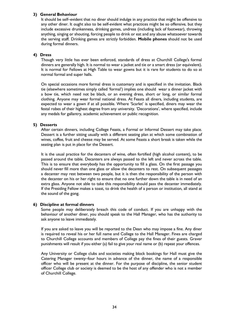#### <span id="page-35-0"></span>**3) General Behaviour**

It should be self–evident that no diner should indulge in any practice that might be offensive to any other diner. It ought also to be self-evident what practices might be so offensive, but they include excessive drunkenness, drinking games, undress (including lack of footwear), throwing anything, singing or shouting, forcing people to drink or eat and any abuse whatsoever towards the serving staff. Drinking games are strictly forbidden. **Mobile phones** should not be used during formal dinners.

#### <span id="page-35-1"></span>**4) Dress**

Though very little has ever been enforced, standards of dress at Churchill College's formal dinners are generally high. It is normal to wear a jacket and tie or a smart dress (or equivalent). It is normal for Fellows at High Table to wear gowns but it is rare for students to do so at normal formal and super halls.

On special occasions more formal dress is customary and is specified in the invitation. Black tie (elsewhere sometimes simply called 'formal') implies one should wear a dinner jacket with a bow tie, which need not be black, or an evening dress, short or long, or similar formal clothing. Anyone may wear formal national dress. At Feasts all diners, including students, are expected to wear a gown if at all possible. Where 'Scarlet' is specified, diners may wear the festal robes of their highest degree from any university. 'Decorations', where specified, include any medals for gallantry, academic achievement or public recognition.

#### <span id="page-35-2"></span>**5) Desserts**

After certain dinners, including College Feasts, a Formal or Informal Dessert may take place. Dessert is a further sitting usually with a different seating plan at which some combination of wines, coffee, fruit and cheese may be served. At some Feasts a short break is taken while the seating plan is put in place for the Dessert.

It is the usual practice for the decanters of wine, often fortified (high alcohol content), to be passed around the table. Decanters are always passed to the left and never across the table. This is to ensure that everybody has the opportunity to fill a glass. On the first passage you should never fill more than one glass or allow the decanters to rest. On subsequent passages a decanter may rest between two people, but it is then the responsibility of the person with the decanter on his or her right to ensure that no one further down the table is in need of an extra glass. Anyone not able to take this responsibility should pass the decanter immediately. If the Presiding Fellow makes a toast, to drink the health of a person or institution, all stand at the sound of the gong.

#### <span id="page-35-3"></span>**6) Discipline at formal dinners**

Some people may deliberately breach this code of conduct. If you are unhappy with the behaviour of another diner, you should speak to the Hall Manager, who has the authority to ask anyone to leave immediately.

If you are asked to leave you will be reported to the Dean who may impose a fine. Any diner is required to reveal his or her full name and College to the Hall Manager. Fines are charged to Churchill College accounts and members of College pay the fines of their guests. Graver punishments will result if you either (a) fail to give your real name or (b) repeat your offences.

Any University or College clubs and societies making block bookings for Hall must give the Catering Manager twenty–four hours in advance of the dinner, the name of a responsible officer who will be present at the dinner. For the purpose of discipline, the senior student officer College club or society is deemed to be the host of any offender who is not a member of Churchill College.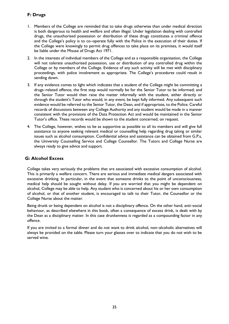# <span id="page-36-0"></span>**F: Drugs**

- 1. Members of the College are reminded that to take drugs otherwise than under medical direction is both dangerous to health and welfare and often illegal. Under legislation dealing with controlled drugs, the unauthorised possession or distribution of these drugs constitutes a criminal offence and the College's policy is to co–operate fully with the Police in the execution of their duties. If the College were knowingly to permit drug offences to take place on its premises, it would itself be liable under the Misuse of Drugs Act 1971.
- 2. In the interests of individual members of the College and as a responsible organisation, the College will not tolerate unauthorised possession, use or distribution of any controlled drug within the College or by members of the College. Evidence of any such activity will be met with disciplinary proceedings, with police involvement as appropriate. The College's procedures could result in sending down.
- 3. If any evidence comes to light which indicates that a student of the College might be committing a drugs–related offence, the first step would normally be for the Senior Tutor to be informed; and the Senior Tutor would then raise the matter informally with the student, either directly or through the student's Tutor who would, in any event, be kept fully informed. Any subsequent such evidence would be referred to the Senior Tutor, the Dean, and if appropriate, to the Police. Careful records of discussions between any College Authority and any student would be made in a manner consistent with the provisions of the Data Protection Act and would be maintained in the Senior Tutor's office. These records would be shown to the student concerned, on request.
- 4. The College, however, wishes to be as supportive as possible to all its members and will give full assistance to anyone seeking relevant medical or counselling help regarding drug taking or similar issues such as alcohol consumption. Confidential advice and assistance can be obtained from G.P.s, the University Counselling Service and College Counsellor. The Tutors and College Nurse are always ready to give advice and support.

# <span id="page-36-1"></span>**G: Alcohol Excess**

College takes very seriously the problems that are associated with excessive consumption of alcohol. This is primarily a welfare concern. There are serious and immediate medical dangers associated with excessive drinking. In particular, in the event that someone drinks to the point of unconsciousness, medical help should be sought without delay. If you are worried that you might be dependent on alcohol, College may be able to help. Any student who is concerned about his or her own consumption of alcohol, or that of another student, is encouraged to talk to their Tutor, the Counsellor or the College Nurse about the matter.

Being drunk or being dependent on alcohol is not a disciplinary offence. On the other hand, anti–social behaviour, as described elsewhere in this book, often a consequence of excess drink, is dealt with by the Dean as a disciplinary matter. In this case drunkenness is regarded as a compounding factor in any offence.

If you are invited to a formal dinner and do not want to drink alcohol, non–alcoholic alternatives will always be provided on the table. Please turn your glasses over to indicate that you do not wish to be served wine.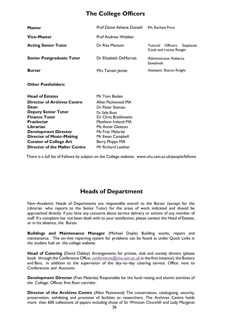# <span id="page-37-0"></span>**The College Officers**

| <b>Master</b>                      | <b>Prof Dame Athene Donald</b> | <b>PA: Rachael Price</b>                                     |
|------------------------------------|--------------------------------|--------------------------------------------------------------|
| <b>Vice-Master</b>                 | <b>Prof Andrew Webber</b>      |                                                              |
| <b>Acting Senior Tutor</b>         | Dr Rita Monson                 | Officers:<br>Tutorial<br>Stephanie<br>Cook and Louise Ranger |
| <b>Senior Postgraduate Tutor</b>   | Dr Elizabeth DeMarrais         | Administrator: Rebecca<br><b>Sawalmeh</b>                    |
| <b>Bursar</b>                      | Mrs Tamsin James               | Assistant: Sharon Knight                                     |
| <b>Other Postholders:</b>          |                                |                                                              |
| <b>Head of Estates</b>             | Mr Tom Boden                   |                                                              |
| <b>Director of Archives Centre</b> | Allen Packwood MA              |                                                              |
| Dean                               | Dr Peter Sloman                |                                                              |
| <b>Deputy Senior Tutor</b>         | Dr Sally Boss                  |                                                              |
| <b>Finance Tutor</b>               | Dr Chris Braithwaite           |                                                              |
| <b>Praelector</b>                  | Matthew Ireland MA             |                                                              |
| Librarian                          | Ms Annie Gleeson               |                                                              |
| <b>Development Director</b>        | Ms Fran Malarée                |                                                              |
| <b>Director of Music-Making</b>    | Mr Ewan Campbell               |                                                              |

There is a full list of Fellows by subject on the College website: [www.chu.cam.ac.uk/people/fellows](http://www.chu.cam.ac.uk/people/fellows) 

**Curator of College Art** Barry Phipps MA **Director of the Møller Centre** Mr Richard Leather

# **Heads of Department**

<span id="page-37-1"></span>Non–Academic Heads of Departments are responsible overall to the Bursar (except for the Librarian who reports to the Senior Tutor) for the areas of work indicated and should be approached directly if you have any concerns about service delivery or actions of any member of staff. If a complaint has not been dealt with to your satisfaction, please contact the Head of Estates, or in his absence, the Bursar.

**Buildings and Maintenance Manager** (Michael Doyle) Building works, repairs and maintenance. The on–line reporting system for problems can be found at under Quick Links in the student hub on the college website.

**Head of Catering** (David Oakley) Arrangements for private, club and society dinners (please book through the Conference Office, [conferences@chu.cam.ac.uk](mailto:conferences@chu.cam.ac.uk) in the first instance), the Buttery and Bars, in addition to the supervision of the day–to–day catering service. Office: next to Conferences and Accounts.

**Development Director** (Fran Malarée) Responsible for the fund–raising and alumni activities of the College. Offices: first floor corridor.

**Director of the Archives Centre** (Allen Packwood) The conservation, cataloguing, security, preservation, exhibiting and provision of facilities to researchers. The Archives Centre holds more than 600 collections of papers including those of Sir Winston Churchill and Lady Margaret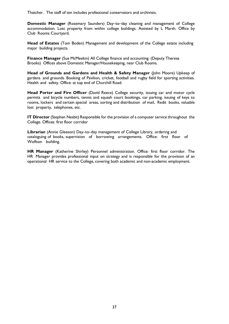Thatcher. The staff of ten includes professional conservators and archivists.

**Domestic Manager** (Rosemary Saunders) Day–to–day cleaning and management of College accommodation. Lost property from within college buildings. Assisted by L Marsh. Office by Club Rooms Courtyard.

**Head of Estates** (Tom Boden) Management and development of the College estate including major building projects.

**Finance Manager** (Sue McMeekin) All College finance and accounting. (Deputy Theresa Brooks) Offices above Domestic Manager/Housekeeping, near Club Rooms.

**Head of Grounds and Gardens and Health & Safety Manager** (John Moore) Upkeep of gardens and grounds. Booking of Pavilion, cricket, football and rugby field for sporting activities. Health and safety. Office: at top end of Churchill Road.

**Head Porter and Fire Officer** (David Reece) College security, issuing car and motor cycle permits and bicycle numbers, tennis and squash court bookings, car parking, issuing of keys to rooms, lockers and certain special areas, sorting and distribution of mail, Redit books, valuable lost property, telephones, etc.

**IT Director** (Stephen Nesbit) Responsible for the provision of a computer service throughout the College. Offices: first floor corridor

**Librarian** (Annie Gleeson) Day–to–day management of College Library, ordering and cataloguing of books, supervision of borrowing arrangements. Office: first floor of Wolfson building.

**HR Manager** (Katherine Shirley) Personnel administration. Office: first floor corridor. The HR Manager provides professional input on strategy and is responsible for the provision of an operational HR service to the College, covering both academic and non-academic employment.